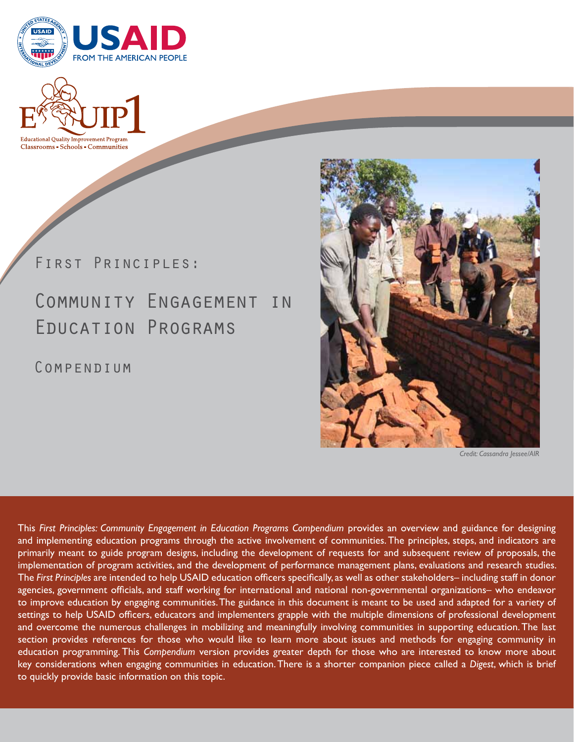



First Principles:

# Community Engagement in Education Programs

COMPENDIUM



*Credit: Cassandra Jessee/AIR*

This *First Principles: Community Engagement in Education Programs Compendium* provides an overview and guidance for designing and implementing education programs through the active involvement of communities. The principles, steps, and indicators are primarily meant to guide program designs, including the development of requests for and subsequent review of proposals, the implementation of program activities, and the development of performance management plans, evaluations and research studies. The *First Principles* are intended to help USAID education officers specifically, as well as other stakeholders– including staff in donor agencies, government officials, and staff working for international and national non-governmental organizations– who endeavor to improve education by engaging communities. The guidance in this document is meant to be used and adapted for a variety of settings to help USAID officers, educators and implementers grapple with the multiple dimensions of professional development and overcome the numerous challenges in mobilizing and meaningfully involving communities in supporting education. The last section provides references for those who would like to learn more about issues and methods for engaging community in education programming. This *Compendium* version provides greater depth for those who are interested to know more about key considerations when engaging communities in education. There is a shorter companion piece called a *Digest*, which is brief to quickly provide basic information on this topic.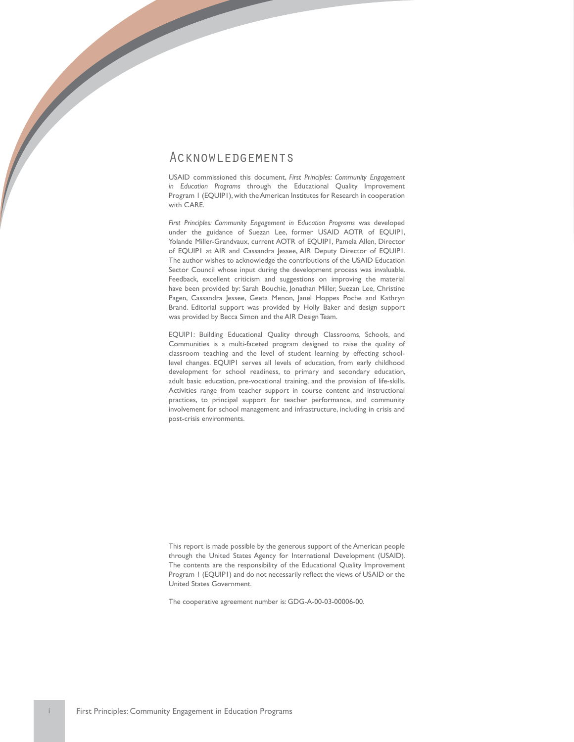### Acknowledgements

USAID commissioned this document, *First Principles: Community Engagement in Education Programs* through the Educational Quality Improvement Program 1 (EQUIP1), with the American Institutes for Research in cooperation with CARE.

*First Principles: Community Engagement in Education Programs* was developed under the guidance of Suezan Lee, former USAID AOTR of EQUIP1, Yolande Miller-Grandvaux, current AOTR of EQUIP1, Pamela Allen, Director of EQUIP1 at AIR and Cassandra Jessee, AIR Deputy Director of EQUIP1. The author wishes to acknowledge the contributions of the USAID Education Sector Council whose input during the development process was invaluable. Feedback, excellent criticism and suggestions on improving the material have been provided by: Sarah Bouchie, Jonathan Miller, Suezan Lee, Christine Pagen, Cassandra Jessee, Geeta Menon, Janel Hoppes Poche and Kathryn Brand. Editorial support was provided by Holly Baker and design support was provided by Becca Simon and the AIR Design Team.

EQUIP1: Building Educational Quality through Classrooms, Schools, and Communities is a multi-faceted program designed to raise the quality of classroom teaching and the level of student learning by effecting schoollevel changes. EQUIP1 serves all levels of education, from early childhood development for school readiness, to primary and secondary education, adult basic education, pre-vocational training, and the provision of life-skills. Activities range from teacher support in course content and instructional practices, to principal support for teacher performance, and community involvement for school management and infrastructure, including in crisis and post-crisis environments.

This report is made possible by the generous support of the American people through the United States Agency for International Development (USAID). The contents are the responsibility of the Educational Quality Improvement Program 1 (EQUIP1) and do not necessarily reflect the views of USAID or the United States Government.

The cooperative agreement number is: GDG-A-00-03-00006-00.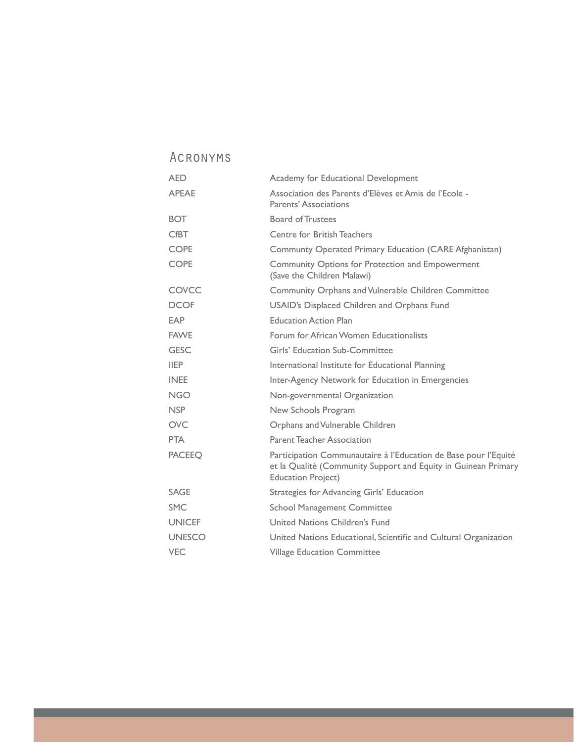## Acronyms

| <b>AED</b>    | Academy for Educational Development                                                                                                                            |
|---------------|----------------------------------------------------------------------------------------------------------------------------------------------------------------|
| <b>APEAE</b>  | Association des Parents d'Elèves et Amis de l'Ecole -<br>Parents' Associations                                                                                 |
| <b>BOT</b>    | <b>Board of Trustees</b>                                                                                                                                       |
| <b>CfBT</b>   | Centre for British Teachers                                                                                                                                    |
| <b>COPE</b>   | Communty Operated Primary Education (CARE Afghanistan)                                                                                                         |
| <b>COPE</b>   | Community Options for Protection and Empowerment<br>(Save the Children Malawi)                                                                                 |
| COVCC         | Community Orphans and Vulnerable Children Committee                                                                                                            |
| <b>DCOF</b>   | USAID's Displaced Children and Orphans Fund                                                                                                                    |
| EAP           | <b>Education Action Plan</b>                                                                                                                                   |
| <b>FAWF</b>   | Forum for African Women Educationalists                                                                                                                        |
| <b>GESC</b>   | Girls' Education Sub-Committee                                                                                                                                 |
| <b>IIEP</b>   | International Institute for Educational Planning                                                                                                               |
| <b>INEE</b>   | Inter-Agency Network for Education in Emergencies                                                                                                              |
| <b>NGO</b>    | Non-governmental Organization                                                                                                                                  |
| <b>NSP</b>    | New Schools Program                                                                                                                                            |
| <b>OVC</b>    | Orphans and Vulnerable Children                                                                                                                                |
| <b>PTA</b>    | Parent Teacher Association                                                                                                                                     |
| <b>PACEEO</b> | Participation Communautaire à l'Education de Base pour l'Equité<br>et la Qualité (Community Support and Equity in Guinean Primary<br><b>Education Project)</b> |
| <b>SAGE</b>   | Strategies for Advancing Girls' Education                                                                                                                      |
| <b>SMC</b>    | <b>School Management Committee</b>                                                                                                                             |
| <b>UNICEF</b> | United Nations Children's Fund                                                                                                                                 |
| <b>UNESCO</b> | United Nations Educational, Scientific and Cultural Organization                                                                                               |
| <b>VEC</b>    | <b>Village Education Committee</b>                                                                                                                             |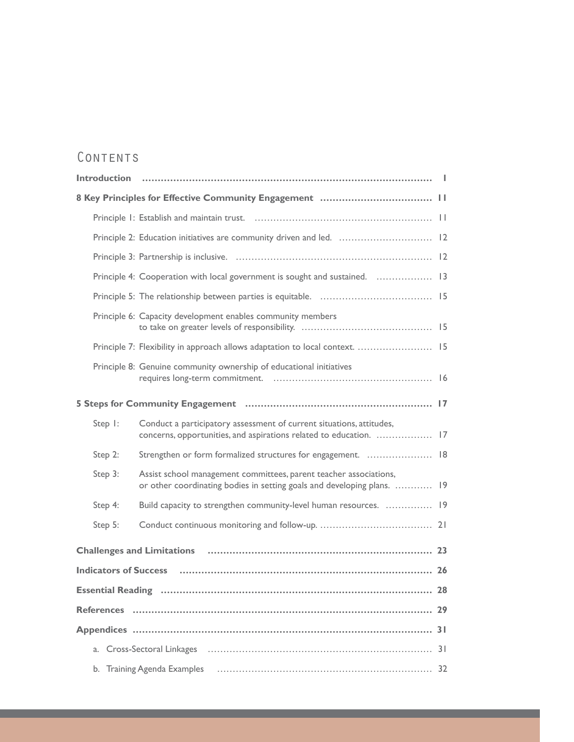# CONTENTS

|         | Principle 2: Education initiatives are community driven and led.  12                                                                         |  |  |
|---------|----------------------------------------------------------------------------------------------------------------------------------------------|--|--|
|         |                                                                                                                                              |  |  |
|         | Principle 4: Cooperation with local government is sought and sustained.  13                                                                  |  |  |
|         |                                                                                                                                              |  |  |
|         | Principle 6: Capacity development enables community members                                                                                  |  |  |
|         | Principle 7: Flexibility in approach allows adaptation to local context.  15                                                                 |  |  |
|         | Principle 8: Genuine community ownership of educational initiatives                                                                          |  |  |
|         |                                                                                                                                              |  |  |
| Step 1: | Conduct a participatory assessment of current situations, attitudes,<br>concerns, opportunities, and aspirations related to education.  17   |  |  |
| Step 2: | Strengthen or form formalized structures for engagement.  18                                                                                 |  |  |
| Step 3: | Assist school management committees, parent teacher associations,<br>or other coordinating bodies in setting goals and developing plans.  19 |  |  |
| Step 4: | Build capacity to strengthen community-level human resources.  19                                                                            |  |  |
| Step 5: |                                                                                                                                              |  |  |
|         |                                                                                                                                              |  |  |
|         |                                                                                                                                              |  |  |
|         |                                                                                                                                              |  |  |
|         |                                                                                                                                              |  |  |
|         |                                                                                                                                              |  |  |
|         |                                                                                                                                              |  |  |
|         |                                                                                                                                              |  |  |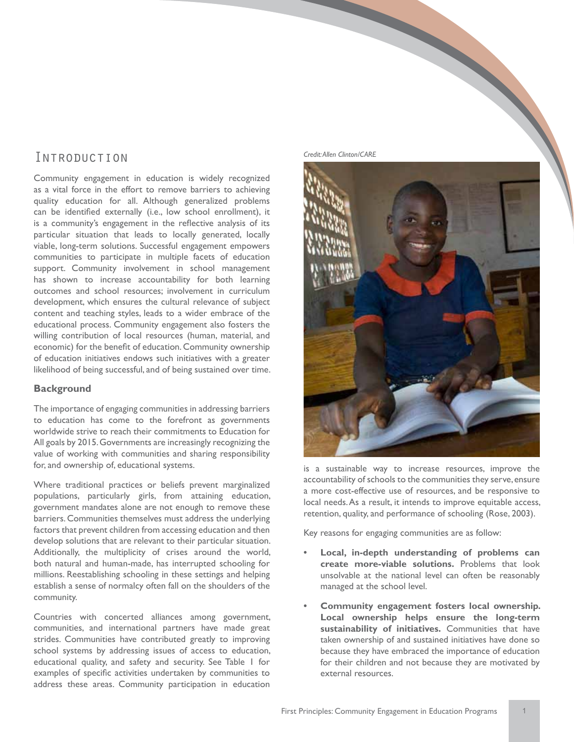### Introduction

Community engagement in education is widely recognized as a vital force in the effort to remove barriers to achieving quality education for all. Although generalized problems can be identified externally (i.e., low school enrollment), it is a community's engagement in the reflective analysis of its particular situation that leads to locally generated, locally viable, long-term solutions. Successful engagement empowers communities to participate in multiple facets of education support. Community involvement in school management has shown to increase accountability for both learning outcomes and school resources; involvement in curriculum development, which ensures the cultural relevance of subject content and teaching styles, leads to a wider embrace of the educational process. Community engagement also fosters the willing contribution of local resources (human, material, and economic) for the benefit of education. Community ownership of education initiatives endows such initiatives with a greater likelihood of being successful, and of being sustained over time.

### **Background**

The importance of engaging communities in addressing barriers to education has come to the forefront as governments worldwide strive to reach their commitments to Education for All goals by 2015. Governments are increasingly recognizing the value of working with communities and sharing responsibility for, and ownership of, educational systems.

Where traditional practices or beliefs prevent marginalized populations, particularly girls, from attaining education, government mandates alone are not enough to remove these barriers. Communities themselves must address the underlying factors that prevent children from accessing education and then develop solutions that are relevant to their particular situation. Additionally, the multiplicity of crises around the world, both natural and human-made, has interrupted schooling for millions. Reestablishing schooling in these settings and helping establish a sense of normalcy often fall on the shoulders of the community.

Countries with concerted alliances among government, communities, and international partners have made great strides. Communities have contributed greatly to improving school systems by addressing issues of access to education, educational quality, and safety and security. See Table 1 for examples of specific activities undertaken by communities to address these areas. Community participation in education





is a sustainable way to increase resources, improve the accountability of schools to the communities they serve, ensure a more cost-effective use of resources, and be responsive to local needs. As a result, it intends to improve equitable access, retention, quality, and performance of schooling (Rose, 2003).

Key reasons for engaging communities are as follow:

- **Local, in-depth understanding of problems can create more-viable solutions.** Problems that look unsolvable at the national level can often be reasonably managed at the school level.
- **Community engagement fosters local ownership. Local ownership helps ensure the long-term sustainability of initiatives.** Communities that have taken ownership of and sustained initiatives have done so because they have embraced the importance of education for their children and not because they are motivated by external resources.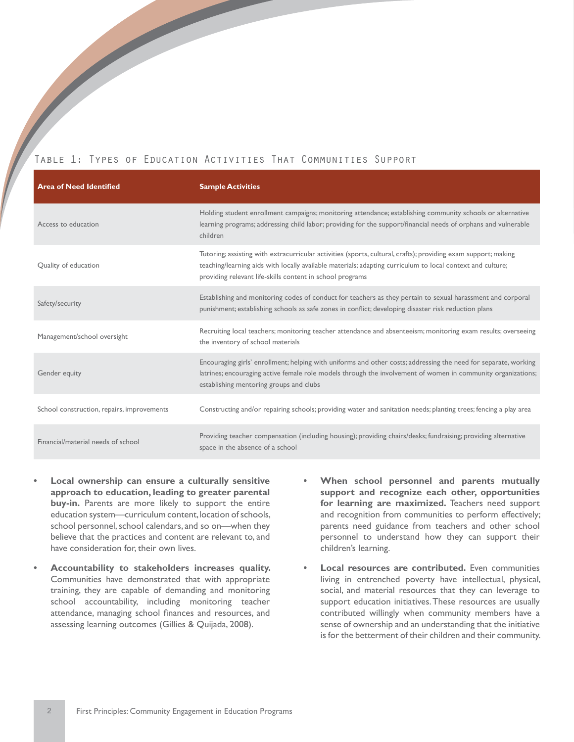### Table 1: Types of Education Activities That Communities Support

| <b>Area of Need Identified</b>             | <b>Sample Activities</b>                                                                                                                                                                                                                                                                  |
|--------------------------------------------|-------------------------------------------------------------------------------------------------------------------------------------------------------------------------------------------------------------------------------------------------------------------------------------------|
| Access to education                        | Holding student enrollment campaigns; monitoring attendance; establishing community schools or alternative<br>learning programs; addressing child labor; providing for the support/financial needs of orphans and vulnerable<br>children                                                  |
| Quality of education                       | Tutoring; assisting with extracurricular activities (sports, cultural, crafts); providing exam support; making<br>teaching/learning aids with locally available materials; adapting curriculum to local context and culture;<br>providing relevant life-skills content in school programs |
| Safety/security                            | Establishing and monitoring codes of conduct for teachers as they pertain to sexual harassment and corporal<br>punishment; establishing schools as safe zones in conflict; developing disaster risk reduction plans                                                                       |
| Management/school oversight                | Recruiting local teachers; monitoring teacher attendance and absenteeism; monitoring exam results; overseeing<br>the inventory of school materials                                                                                                                                        |
| Gender equity                              | Encouraging girls' enrollment; helping with uniforms and other costs; addressing the need for separate, working<br>latrines; encouraging active female role models through the involvement of women in community organizations;<br>establishing mentoring groups and clubs                |
| School construction, repairs, improvements | Constructing and/or repairing schools; providing water and sanitation needs; planting trees; fencing a play area                                                                                                                                                                          |
| Financial/material needs of school         | Providing teacher compensation (including housing); providing chairs/desks; fundraising; providing alternative<br>space in the absence of a school                                                                                                                                        |

- **Local ownership can ensure a culturally sensitive approach to education, leading to greater parental buy-in.** Parents are more likely to support the entire education system—curriculum content, location of schools, school personnel, school calendars, and so on—when they believe that the practices and content are relevant to, and have consideration for, their own lives.
- **• Accountability to stakeholders increases quality.**  Communities have demonstrated that with appropriate training, they are capable of demanding and monitoring school accountability, including monitoring teacher attendance, managing school finances and resources, and assessing learning outcomes (Gillies & Quijada, 2008).
- **When school personnel and parents mutually support and recognize each other, opportunities for learning are maximized.** Teachers need support and recognition from communities to perform effectively; parents need guidance from teachers and other school personnel to understand how they can support their children's learning.
- **Local resources are contributed.** Even communities living in entrenched poverty have intellectual, physical, social, and material resources that they can leverage to support education initiatives. These resources are usually contributed willingly when community members have a sense of ownership and an understanding that the initiative is for the betterment of their children and their community.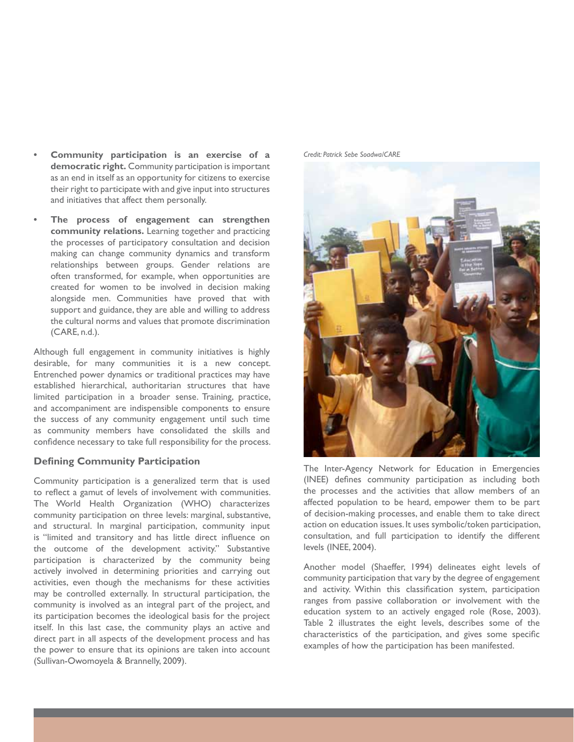- **Community participation is an exercise of a democratic right.** Community participation is important as an end in itself as an opportunity for citizens to exercise their right to participate with and give input into structures and initiatives that affect them personally.
- The process of engagement can strengthen **community relations.** Learning together and practicing the processes of participatory consultation and decision making can change community dynamics and transform relationships between groups. Gender relations are often transformed, for example, when opportunities are created for women to be involved in decision making alongside men. Communities have proved that with support and guidance, they are able and willing to address the cultural norms and values that promote discrimination (CARE, n.d.).

Although full engagement in community initiatives is highly desirable, for many communities it is a new concept. Entrenched power dynamics or traditional practices may have established hierarchical, authoritarian structures that have limited participation in a broader sense. Training, practice, and accompaniment are indispensible components to ensure the success of any community engagement until such time as community members have consolidated the skills and confidence necessary to take full responsibility for the process.

### **Defining Community Participation**

Community participation is a generalized term that is used to reflect a gamut of levels of involvement with communities. The World Health Organization (WHO) characterizes community participation on three levels: marginal, substantive, and structural. In marginal participation, community input is "limited and transitory and has little direct influence on the outcome of the development activity." Substantive participation is characterized by the community being actively involved in determining priorities and carrying out activities, even though the mechanisms for these activities may be controlled externally. In structural participation, the community is involved as an integral part of the project, and its participation becomes the ideological basis for the project itself. In this last case, the community plays an active and direct part in all aspects of the development process and has the power to ensure that its opinions are taken into account (Sullivan-Owomoyela & Brannelly, 2009).

*Credit: Patrick Sebe Soadwa/CARE*



The Inter-Agency Network for Education in Emergencies (INEE) defines community participation as including both the processes and the activities that allow members of an affected population to be heard, empower them to be part of decision-making processes, and enable them to take direct action on education issues. It uses symbolic/token participation, consultation, and full participation to identify the different levels (INEE, 2004).

Another model (Shaeffer, 1994) delineates eight levels of community participation that vary by the degree of engagement and activity. Within this classification system, participation ranges from passive collaboration or involvement with the education system to an actively engaged role (Rose, 2003). Table 2 illustrates the eight levels, describes some of the characteristics of the participation, and gives some specific examples of how the participation has been manifested.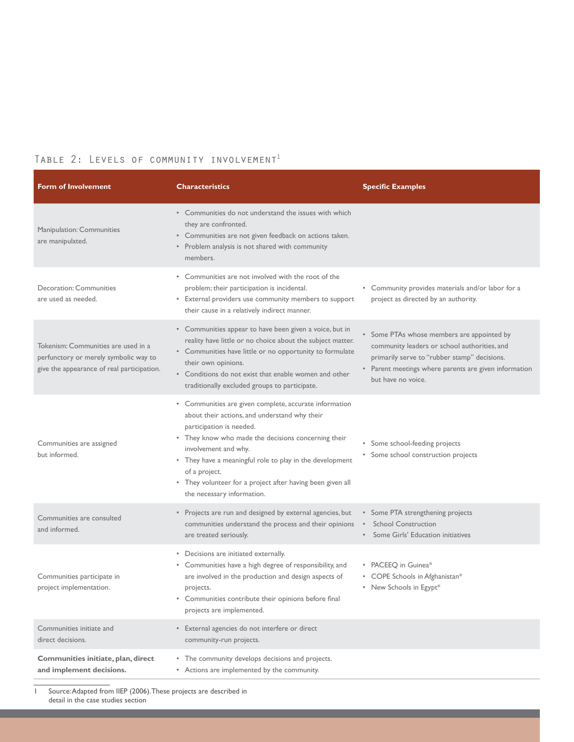### TABLE 2: LEVELS OF COMMUNITY INVOLVEMENT<sup>1</sup>

| <b>Form of Involvement</b>                                                                                                 | <b>Characteristics</b>                                                                                                                                                                                                                                                                                                                                                                      | <b>Specific Examples</b>                                                                                                                                                                                                  |
|----------------------------------------------------------------------------------------------------------------------------|---------------------------------------------------------------------------------------------------------------------------------------------------------------------------------------------------------------------------------------------------------------------------------------------------------------------------------------------------------------------------------------------|---------------------------------------------------------------------------------------------------------------------------------------------------------------------------------------------------------------------------|
| Manipulation: Communities<br>are manipulated.                                                                              | • Communities do not understand the issues with which<br>they are confronted.<br>• Communities are not given feedback on actions taken.<br>• Problem analysis is not shared with community<br>members.                                                                                                                                                                                      |                                                                                                                                                                                                                           |
| <b>Decoration: Communities</b><br>are used as needed.                                                                      | • Communities are not involved with the root of the<br>problem; their participation is incidental.<br>• External providers use community members to support<br>their cause in a relatively indirect manner.                                                                                                                                                                                 | • Community provides materials and/or labor for a<br>project as directed by an authority.                                                                                                                                 |
| Tokenism: Communities are used in a<br>perfunctory or merely symbolic way to<br>give the appearance of real participation. | • Communities appear to have been given a voice, but in<br>reality have little or no choice about the subject matter.<br>• Communities have little or no opportunity to formulate<br>their own opinions.<br>• Conditions do not exist that enable women and other<br>traditionally excluded groups to participate.                                                                          | • Some PTAs whose members are appointed by<br>community leaders or school authorities, and<br>primarily serve to "rubber stamp" decisions.<br>• Parent meetings where parents are given information<br>but have no voice. |
| Communities are assigned<br>but informed.                                                                                  | • Communities are given complete, accurate information<br>about their actions, and understand why their<br>participation is needed.<br>• They know who made the decisions concerning their<br>involvement and why.<br>• They have a meaningful role to play in the development<br>of a project.<br>• They volunteer for a project after having been given all<br>the necessary information. | • Some school-feeding projects<br>• Some school construction projects                                                                                                                                                     |
| Communities are consulted<br>and informed.                                                                                 | • Projects are run and designed by external agencies, but<br>communities understand the process and their opinions<br>are treated seriously.                                                                                                                                                                                                                                                | • Some PTA strengthening projects<br><b>School Construction</b><br>Some Girls' Education initiatives                                                                                                                      |
| Communities participate in<br>project implementation.                                                                      | • Decisions are initiated externally.<br>• Communities have a high degree of responsibility, and<br>are involved in the production and design aspects of<br>projects.<br>• Communities contribute their opinions before final<br>projects are implemented.                                                                                                                                  | • PACEEQ in Guinea*<br>• COPE Schools in Afghanistan*<br>• New Schools in Egypt*                                                                                                                                          |
| Communities initiate and<br>direct decisions.                                                                              | • External agencies do not interfere or direct<br>community-run projects.                                                                                                                                                                                                                                                                                                                   |                                                                                                                                                                                                                           |
| Communities initiate, plan, direct<br>and implement decisions.                                                             | • The community develops decisions and projects.<br>• Actions are implemented by the community.                                                                                                                                                                                                                                                                                             |                                                                                                                                                                                                                           |

1 Source: Adapted from IIEP (2006). These projects are described in detail in the case studies section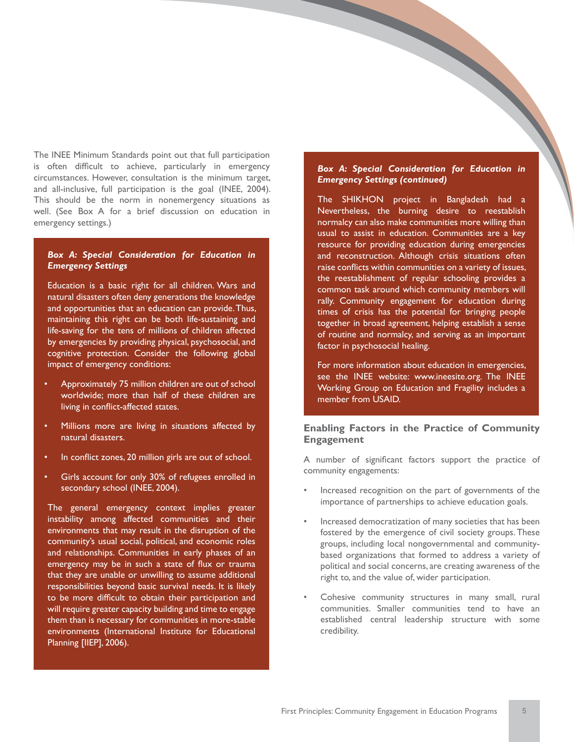The INEE Minimum Standards point out that full participation is often difficult to achieve, particularly in emergency circumstances. However, consultation is the minimum target, and all-inclusive, full participation is the goal (INEE, 2004). This should be the norm in nonemergency situations as well. (See Box A for a brief discussion on education in emergency settings.)

### *Box A: Special Consideration for Education in Emergency Settings*

Education is a basic right for all children. Wars and natural disasters often deny generations the knowledge and opportunities that an education can provide. Thus, maintaining this right can be both life-sustaining and life-saving for the tens of millions of children affected by emergencies by providing physical, psychosocial, and cognitive protection. Consider the following global impact of emergency conditions:

- Approximately 75 million children are out of school worldwide; more than half of these children are living in conflict-affected states.
- Millions more are living in situations affected by natural disasters.
- In conflict zones, 20 million girls are out of school.
- Girls account for only 30% of refugees enrolled in secondary school (INEE, 2004).

The general emergency context implies greater instability among affected communities and their environments that may result in the disruption of the community's usual social, political, and economic roles and relationships. Communities in early phases of an emergency may be in such a state of flux or trauma that they are unable or unwilling to assume additional responsibilities beyond basic survival needs. It is likely to be more difficult to obtain their participation and will require greater capacity building and time to engage them than is necessary for communities in more-stable environments (International Institute for Educational Planning [IIEP], 2006).

#### *Box A: Special Consideration for Education in Emergency Settings (continued)*

The SHIKHON project in Bangladesh had a Nevertheless, the burning desire to reestablish normalcy can also make communities more willing than usual to assist in education. Communities are a key resource for providing education during emergencies and reconstruction. Although crisis situations often raise conflicts within communities on a variety of issues, the reestablishment of regular schooling provides a common task around which community members will rally. Community engagement for education during times of crisis has the potential for bringing people together in broad agreement, helping establish a sense of routine and normalcy, and serving as an important factor in psychosocial healing.

For more information about education in emergencies, see the INEE website: www.ineesite.org. The INEE Working Group on Education and Fragility includes a member from USAID.

### **Enabling Factors in the Practice of Community Engagement**

A number of significant factors support the practice of community engagements:

- Increased recognition on the part of governments of the importance of partnerships to achieve education goals.
- Increased democratization of many societies that has been fostered by the emergence of civil society groups. These groups, including local nongovernmental and communitybased organizations that formed to address a variety of political and social concerns, are creating awareness of the right to, and the value of, wider participation.
- Cohesive community structures in many small, rural communities. Smaller communities tend to have an established central leadership structure with some credibility.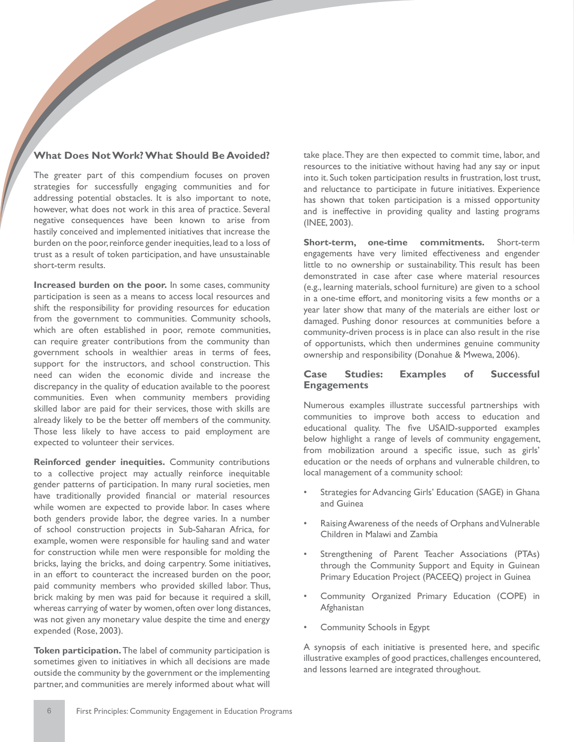### **What Does Not Work? What Should Be Avoided?**

The greater part of this compendium focuses on proven strategies for successfully engaging communities and for addressing potential obstacles. It is also important to note, however, what does not work in this area of practice. Several negative consequences have been known to arise from hastily conceived and implemented initiatives that increase the burden on the poor, reinforce gender inequities, lead to a loss of trust as a result of token participation, and have unsustainable short-term results.

**Increased burden on the poor.** In some cases, community participation is seen as a means to access local resources and shift the responsibility for providing resources for education from the government to communities. Community schools, which are often established in poor, remote communities, can require greater contributions from the community than government schools in wealthier areas in terms of fees, support for the instructors, and school construction. This need can widen the economic divide and increase the discrepancy in the quality of education available to the poorest communities. Even when community members providing skilled labor are paid for their services, those with skills are already likely to be the better off members of the community. Those less likely to have access to paid employment are expected to volunteer their services.

**Reinforced gender inequities.** Community contributions to a collective project may actually reinforce inequitable gender patterns of participation. In many rural societies, men have traditionally provided financial or material resources while women are expected to provide labor. In cases where both genders provide labor, the degree varies. In a number of school construction projects in Sub-Saharan Africa, for example, women were responsible for hauling sand and water for construction while men were responsible for molding the bricks, laying the bricks, and doing carpentry. Some initiatives, in an effort to counteract the increased burden on the poor, paid community members who provided skilled labor. Thus, brick making by men was paid for because it required a skill, whereas carrying of water by women, often over long distances, was not given any monetary value despite the time and energy expended (Rose, 2003).

**Token participation.** The label of community participation is sometimes given to initiatives in which all decisions are made outside the community by the government or the implementing partner, and communities are merely informed about what will take place. They are then expected to commit time, labor, and resources to the initiative without having had any say or input into it. Such token participation results in frustration, lost trust, and reluctance to participate in future initiatives. Experience has shown that token participation is a missed opportunity and is ineffective in providing quality and lasting programs (INEE, 2003).

**Short-term, one-time commitments.** Short-term engagements have very limited effectiveness and engender little to no ownership or sustainability. This result has been demonstrated in case after case where material resources (e.g., learning materials, school furniture) are given to a school in a one-time effort, and monitoring visits a few months or a year later show that many of the materials are either lost or damaged. Pushing donor resources at communities before a community-driven process is in place can also result in the rise of opportunists, which then undermines genuine community ownership and responsibility (Donahue & Mwewa, 2006).

### **Case Studies: Examples of Successful Engagements**

Numerous examples illustrate successful partnerships with communities to improve both access to education and educational quality. The five USAID-supported examples below highlight a range of levels of community engagement, from mobilization around a specific issue, such as girls' education or the needs of orphans and vulnerable children, to local management of a community school:

- Strategies for Advancing Girls' Education (SAGE) in Ghana and Guinea
- Raising Awareness of the needs of Orphans and Vulnerable Children in Malawi and Zambia
- Strengthening of Parent Teacher Associations (PTAs) through the Community Support and Equity in Guinean Primary Education Project (PACEEQ) project in Guinea
- Community Organized Primary Education (COPE) in Afghanistan
- Community Schools in Egypt

A synopsis of each initiative is presented here, and specific illustrative examples of good practices, challenges encountered, and lessons learned are integrated throughout.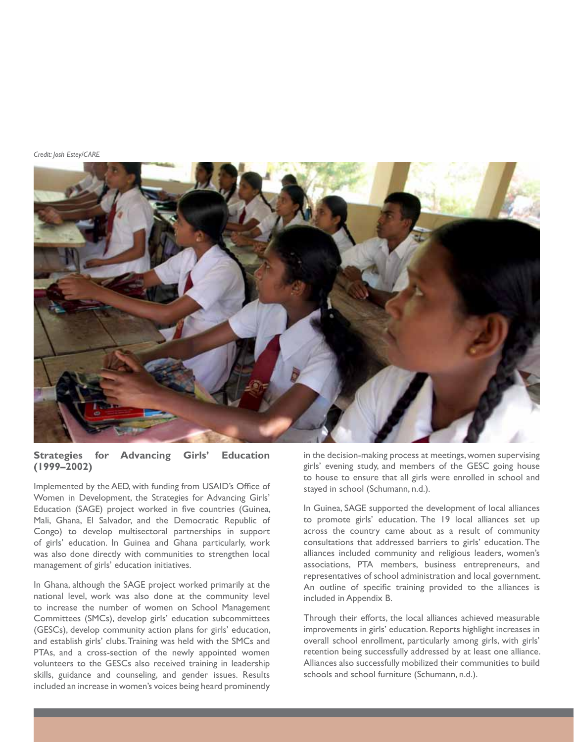*Credit: Josh Estey/CARE*



### **Strategies for Advancing Girls' Education (1999–2002)**

Implemented by the AED, with funding from USAID's Office of Women in Development, the Strategies for Advancing Girls' Education (SAGE) project worked in five countries (Guinea, Mali, Ghana, El Salvador, and the Democratic Republic of Congo) to develop multisectoral partnerships in support of girls' education. In Guinea and Ghana particularly, work was also done directly with communities to strengthen local management of girls' education initiatives.

In Ghana, although the SAGE project worked primarily at the national level, work was also done at the community level to increase the number of women on School Management Committees (SMCs), develop girls' education subcommittees (GESCs), develop community action plans for girls' education, and establish girls' clubs. Training was held with the SMCs and PTAs, and a cross-section of the newly appointed women volunteers to the GESCs also received training in leadership skills, guidance and counseling, and gender issues. Results included an increase in women's voices being heard prominently

in the decision-making process at meetings, women supervising girls' evening study, and members of the GESC going house to house to ensure that all girls were enrolled in school and stayed in school (Schumann, n.d.).

In Guinea, SAGE supported the development of local alliances to promote girls' education. The 19 local alliances set up across the country came about as a result of community consultations that addressed barriers to girls' education. The alliances included community and religious leaders, women's associations, PTA members, business entrepreneurs, and representatives of school administration and local government. An outline of specific training provided to the alliances is included in Appendix B.

Through their efforts, the local alliances achieved measurable improvements in girls' education. Reports highlight increases in overall school enrollment, particularly among girls, with girls' retention being successfully addressed by at least one alliance. Alliances also successfully mobilized their communities to build schools and school furniture (Schumann, n.d.).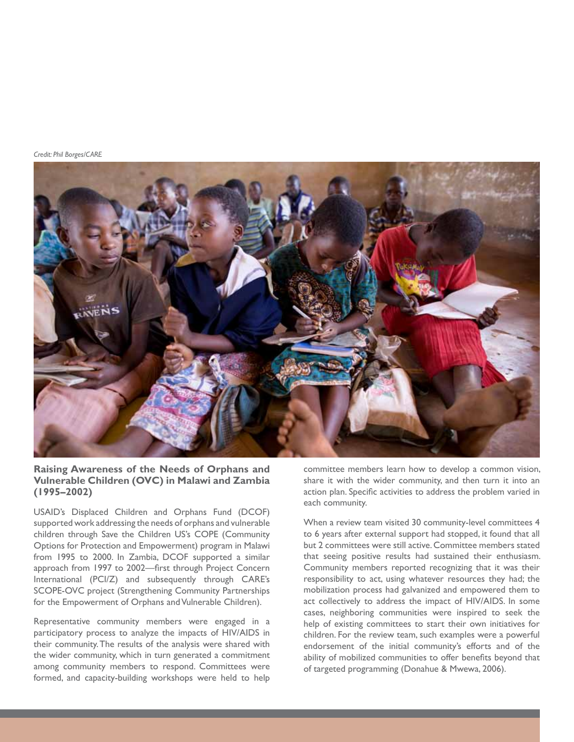*Credit: Phil Borges/CARE*



### **Raising Awareness of the Needs of Orphans and Vulnerable Children (OVC) in Malawi and Zambia (1995–2002)**

USAID's Displaced Children and Orphans Fund (DCOF) supported work addressing the needs of orphans and vulnerable children through Save the Children US's COPE (Community Options for Protection and Empowerment) program in Malawi from 1995 to 2000. In Zambia, DCOF supported a similar approach from 1997 to 2002—first through Project Concern International (PCI/Z) and subsequently through CARE's SCOPE-OVC project (Strengthening Community Partnerships for the Empowerment of Orphans and Vulnerable Children).

Representative community members were engaged in a participatory process to analyze the impacts of HIV/AIDS in their community. The results of the analysis were shared with the wider community, which in turn generated a commitment among community members to respond. Committees were formed, and capacity-building workshops were held to help

committee members learn how to develop a common vision, share it with the wider community, and then turn it into an action plan. Specific activities to address the problem varied in each community.

When a review team visited 30 community-level committees 4 to 6 years after external support had stopped, it found that all but 2 committees were still active. Committee members stated that seeing positive results had sustained their enthusiasm. Community members reported recognizing that it was their responsibility to act, using whatever resources they had; the mobilization process had galvanized and empowered them to act collectively to address the impact of HIV/AIDS. In some cases, neighboring communities were inspired to seek the help of existing committees to start their own initiatives for children. For the review team, such examples were a powerful endorsement of the initial community's efforts and of the ability of mobilized communities to offer benefits beyond that of targeted programming (Donahue & Mwewa, 2006).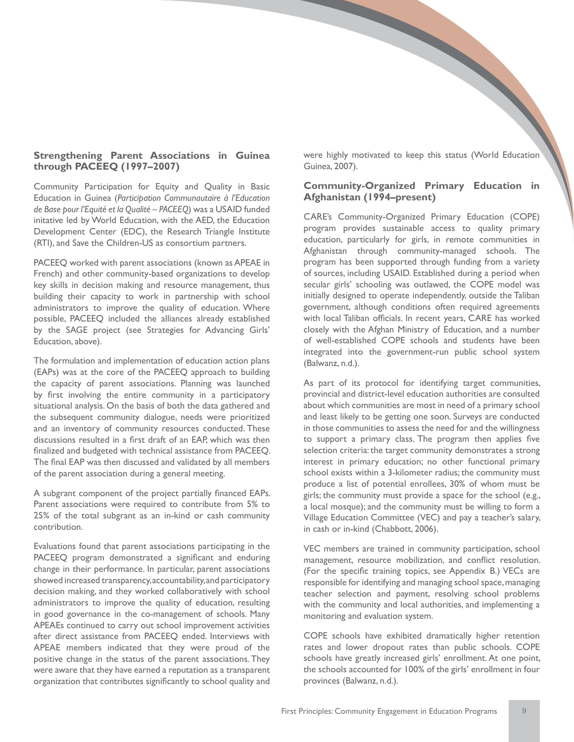### **Strengthening Parent Associations in Guinea through PACEEQ (1997–2007)**

Community Participation for Equity and Quality in Basic Education in Guinea (*Participation Communautaire à l'Education de Base pour l'Equité et la Qualité – PACEEQ*) was a USAID funded initative led by World Education, with the AED, the Education Development Center (EDC), the Research Triangle Institute (RTI), and Save the Children-US as consortium partners.

PACEEQ worked with parent associations (known as APEAE in French) and other community-based organizations to develop key skills in decision making and resource management, thus building their capacity to work in partnership with school administrators to improve the quality of education. Where possible, PACEEQ included the alliances already established by the SAGE project (see Strategies for Advancing Girls' Education, above).

The formulation and implementation of education action plans (EAPs) was at the core of the PACEEQ approach to building the capacity of parent associations. Planning was launched by first involving the entire community in a participatory situational analysis. On the basis of both the data gathered and the subsequent community dialogue, needs were prioritized and an inventory of community resources conducted. These discussions resulted in a first draft of an EAP, which was then finalized and budgeted with technical assistance from PACEEQ. The final EAP was then discussed and validated by all members of the parent association during a general meeting.

A subgrant component of the project partially financed EAPs. Parent associations were required to contribute from 5% to 25% of the total subgrant as an in-kind or cash community contribution.

Evaluations found that parent associations participating in the PACEEQ program demonstrated a significant and enduring change in their performance. In particular, parent associations showed increased transparency, accountability, and participatory decision making, and they worked collaboratively with school administrators to improve the quality of education, resulting in good governance in the co-management of schools. Many APEAEs continued to carry out school improvement activities after direct assistance from PACEEQ ended. Interviews with APEAE members indicated that they were proud of the positive change in the status of the parent associations. They were aware that they have earned a reputation as a transparent organization that contributes significantly to school quality and

were highly motivated to keep this status (World Education Guinea, 2007).

### **Community-Organized Primary Education in Afghanistan (1994–present)**

CARE's Community-Organized Primary Education (COPE) program provides sustainable access to quality primary education, particularly for girls, in remote communities in Afghanistan through community-managed schools. The program has been supported through funding from a variety of sources, including USAID. Established during a period when secular girls' schooling was outlawed, the COPE model was initially designed to operate independently, outside the Taliban government, although conditions often required agreements with local Taliban officials. In recent years, CARE has worked closely with the Afghan Ministry of Education, and a number of well-established COPE schools and students have been integrated into the government-run public school system (Balwanz, n.d.).

As part of its protocol for identifying target communities, provincial and district-level education authorities are consulted about which communities are most in need of a primary school and least likely to be getting one soon. Surveys are conducted in those communities to assess the need for and the willingness to support a primary class. The program then applies five selection criteria: the target community demonstrates a strong interest in primary education; no other functional primary school exists within a 3-kilometer radius; the community must produce a list of potential enrollees, 30% of whom must be girls; the community must provide a space for the school (e.g., a local mosque); and the community must be willing to form a Village Education Committee (VEC) and pay a teacher's salary, in cash or in-kind (Chabbott, 2006).

VEC members are trained in community participation, school management, resource mobilization, and conflict resolution. (For the specific training topics, see Appendix B.) VECs are responsible for identifying and managing school space, managing teacher selection and payment, resolving school problems with the community and local authorities, and implementing a monitoring and evaluation system.

COPE schools have exhibited dramatically higher retention rates and lower dropout rates than public schools. COPE schools have greatly increased girls' enrollment. At one point, the schools accounted for 100% of the girls' enrollment in four provinces (Balwanz, n.d.).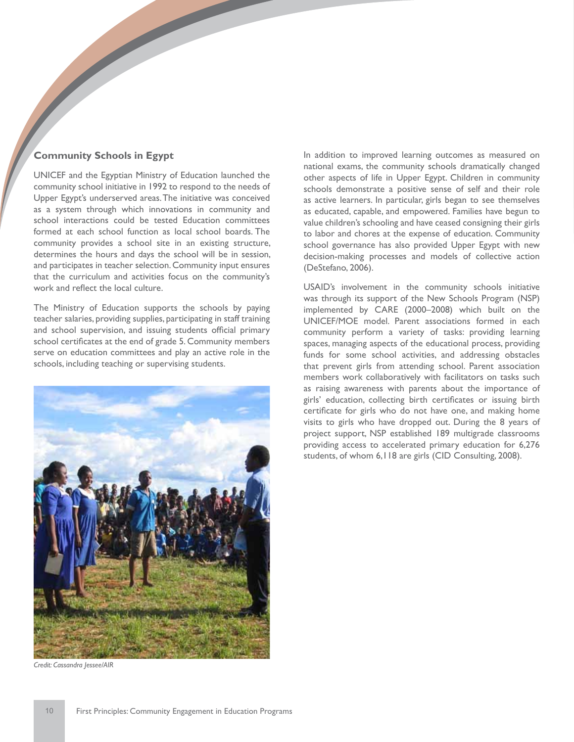### **Community Schools in Egypt**

UNICEF and the Egyptian Ministry of Education launched the community school initiative in 1992 to respond to the needs of Upper Egypt's underserved areas. The initiative was conceived as a system through which innovations in community and school interactions could be tested Education committees formed at each school function as local school boards. The community provides a school site in an existing structure, determines the hours and days the school will be in session, and participates in teacher selection. Community input ensures that the curriculum and activities focus on the community's work and reflect the local culture.

The Ministry of Education supports the schools by paying teacher salaries, providing supplies, participating in staff training and school supervision, and issuing students official primary school certificates at the end of grade 5. Community members serve on education committees and play an active role in the schools, including teaching or supervising students.



*Credit: Cassandra Jessee/AIR*

In addition to improved learning outcomes as measured on national exams, the community schools dramatically changed other aspects of life in Upper Egypt. Children in community schools demonstrate a positive sense of self and their role as active learners. In particular, girls began to see themselves as educated, capable, and empowered. Families have begun to value children's schooling and have ceased consigning their girls to labor and chores at the expense of education. Community school governance has also provided Upper Egypt with new decision-making processes and models of collective action (DeStefano, 2006).

USAID's involvement in the community schools initiative was through its support of the New Schools Program (NSP) implemented by CARE (2000–2008) which built on the UNICEF/MOE model. Parent associations formed in each community perform a variety of tasks: providing learning spaces, managing aspects of the educational process, providing funds for some school activities, and addressing obstacles that prevent girls from attending school. Parent association members work collaboratively with facilitators on tasks such as raising awareness with parents about the importance of girls' education, collecting birth certificates or issuing birth certificate for girls who do not have one, and making home visits to girls who have dropped out. During the 8 years of project support, NSP established 189 multigrade classrooms providing access to accelerated primary education for 6,276 students, of whom 6,118 are girls (CID Consulting, 2008).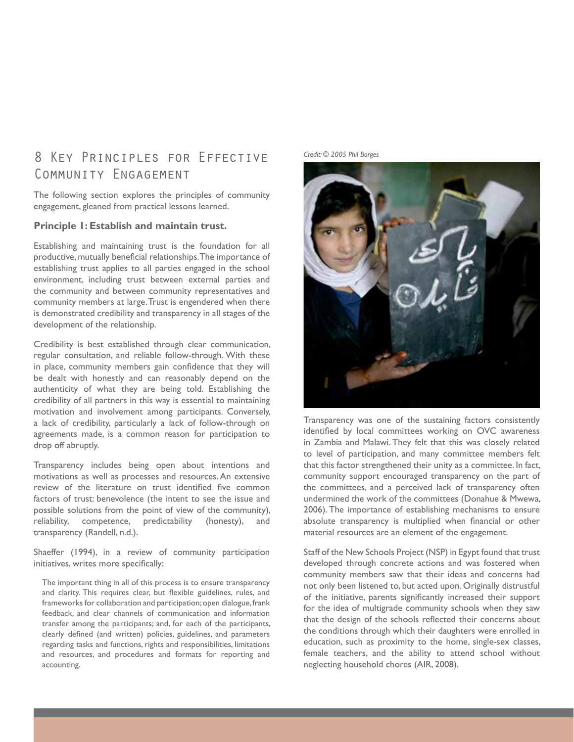# 8 KEY PRINCIPLES FOR EFFECTIVE Credit: © 2005 Phil Borges Community Engagement

The following section explores the principles of community engagement, gleaned from practical lessons learned.

### **Principle 1: Establish and maintain trust.**

Establishing and maintaining trust is the foundation for all productive, mutually beneficial relationships. The importance of establishing trust applies to all parties engaged in the school environment, including trust between external parties and the community and between community representatives and community members at large. Trust is engendered when there is demonstrated credibility and transparency in all stages of the development of the relationship.

Credibility is best established through clear communication, regular consultation, and reliable follow-through. With these in place, community members gain confidence that they will be dealt with honestly and can reasonably depend on the authenticity of what they are being told. Establishing the credibility of all partners in this way is essential to maintaining motivation and involvement among participants. Conversely, a lack of credibility, particularly a lack of follow-through on agreements made, is a common reason for participation to drop off abruptly.

Transparency includes being open about intentions and motivations as well as processes and resources. An extensive review of the literature on trust identified five common factors of trust: benevolence (the intent to see the issue and possible solutions from the point of view of the community), reliability, competence, predictability (honesty), and transparency (Randell, n.d.).

Shaeffer (1994), in a review of community participation initiatives, writes more specifically:

The important thing in all of this process is to ensure transparency and clarity. This requires clear, but flexible guidelines, rules, and frameworks for collaboration and participation; open dialogue, frank feedback, and clear channels of communication and information transfer among the participants; and, for each of the participants, clearly defined (and written) policies, guidelines, and parameters regarding tasks and functions, rights and responsibilities, limitations and resources, and procedures and formats for reporting and accounting.





Transparency was one of the sustaining factors consistently identified by local committees working on OVC awareness in Zambia and Malawi. They felt that this was closely related to level of participation, and many committee members felt that this factor strengthened their unity as a committee. In fact, community support encouraged transparency on the part of the committees, and a perceived lack of transparency often undermined the work of the committees (Donahue & Mwewa, 2006). The importance of establishing mechanisms to ensure absolute transparency is multiplied when financial or other material resources are an element of the engagement.

Staff of the New Schools Project (NSP) in Egypt found that trust developed through concrete actions and was fostered when community members saw that their ideas and concerns had not only been listened to, but acted upon. Originally distrustful of the initiative, parents significantly increased their support for the idea of multigrade community schools when they saw that the design of the schools reflected their concerns about the conditions through which their daughters were enrolled in education, such as proximity to the home, single-sex classes, female teachers, and the ability to attend school without neglecting household chores (AIR, 2008).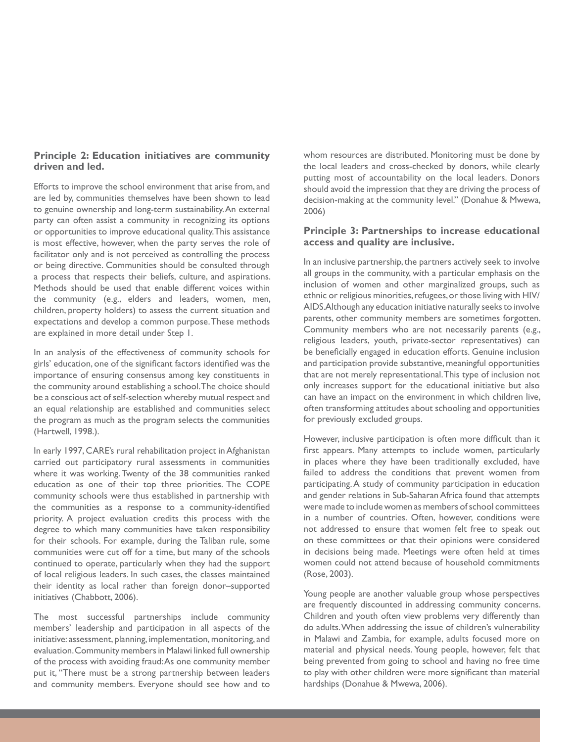### **Principle 2: Education initiatives are community driven and led.**

Efforts to improve the school environment that arise from, and are led by, communities themselves have been shown to lead to genuine ownership and long-term sustainability. An external party can often assist a community in recognizing its options or opportunities to improve educational quality. This assistance is most effective, however, when the party serves the role of facilitator only and is not perceived as controlling the process or being directive. Communities should be consulted through a process that respects their beliefs, culture, and aspirations. Methods should be used that enable different voices within the community (e.g., elders and leaders, women, men, children, property holders) to assess the current situation and expectations and develop a common purpose. These methods are explained in more detail under Step 1.

In an analysis of the effectiveness of community schools for girls' education, one of the significant factors identified was the importance of ensuring consensus among key constituents in the community around establishing a school. The choice should be a conscious act of self-selection whereby mutual respect and an equal relationship are established and communities select the program as much as the program selects the communities (Hartwell, 1998.).

In early 1997, CARE's rural rehabilitation project in Afghanistan carried out participatory rural assessments in communities where it was working. Twenty of the 38 communities ranked education as one of their top three priorities. The COPE community schools were thus established in partnership with the communities as a response to a community-identified priority. A project evaluation credits this process with the degree to which many communities have taken responsibility for their schools. For example, during the Taliban rule, some communities were cut off for a time, but many of the schools continued to operate, particularly when they had the support of local religious leaders. In such cases, the classes maintained their identity as local rather than foreign donor–supported initiatives (Chabbott, 2006).

The most successful partnerships include community members' leadership and participation in all aspects of the initiative: assessment, planning, implementation, monitoring, and evaluation. Community members in Malawi linked full ownership of the process with avoiding fraud: As one community member put it, "There must be a strong partnership between leaders and community members. Everyone should see how and to

whom resources are distributed. Monitoring must be done by the local leaders and cross-checked by donors, while clearly putting most of accountability on the local leaders. Donors should avoid the impression that they are driving the process of decision-making at the community level." (Donahue & Mwewa, 2006)

### **Principle 3: Partnerships to increase educational access and quality are inclusive.**

In an inclusive partnership, the partners actively seek to involve all groups in the community, with a particular emphasis on the inclusion of women and other marginalized groups, such as ethnic or religious minorities, refugees, or those living with HIV/ AIDS. Although any education initiative naturally seeks to involve parents, other community members are sometimes forgotten. Community members who are not necessarily parents (e.g., religious leaders, youth, private-sector representatives) can be beneficially engaged in education efforts. Genuine inclusion and participation provide substantive, meaningful opportunities that are not merely representational. This type of inclusion not only increases support for the educational initiative but also can have an impact on the environment in which children live, often transforming attitudes about schooling and opportunities for previously excluded groups.

However, inclusive participation is often more difficult than it first appears. Many attempts to include women, particularly in places where they have been traditionally excluded, have failed to address the conditions that prevent women from participating. A study of community participation in education and gender relations in Sub-Saharan Africa found that attempts were made to include women as members of school committees in a number of countries. Often, however, conditions were not addressed to ensure that women felt free to speak out on these committees or that their opinions were considered in decisions being made. Meetings were often held at times women could not attend because of household commitments (Rose, 2003).

Young people are another valuable group whose perspectives are frequently discounted in addressing community concerns. Children and youth often view problems very differently than do adults. When addressing the issue of children's vulnerability in Malawi and Zambia, for example, adults focused more on material and physical needs. Young people, however, felt that being prevented from going to school and having no free time to play with other children were more significant than material hardships (Donahue & Mwewa, 2006).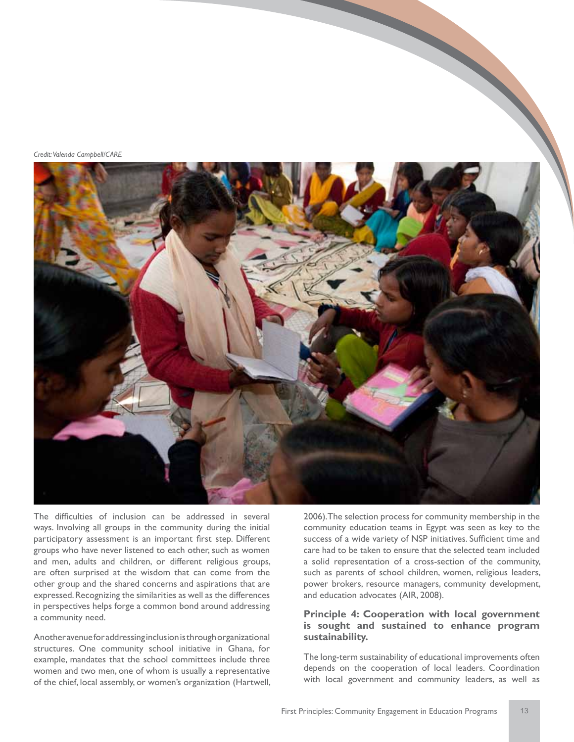*Credit: Valenda Campbell/CARE*



The difficulties of inclusion can be addressed in several ways. Involving all groups in the community during the initial participatory assessment is an important first step. Different groups who have never listened to each other, such as women and men, adults and children, or different religious groups, are often surprised at the wisdom that can come from the other group and the shared concerns and aspirations that are expressed. Recognizing the similarities as well as the differences in perspectives helps forge a common bond around addressing a community need.

Another avenue for addressing inclusion is through organizational structures. One community school initiative in Ghana, for example, mandates that the school committees include three women and two men, one of whom is usually a representative of the chief, local assembly, or women's organization (Hartwell, 2006). The selection process for community membership in the community education teams in Egypt was seen as key to the success of a wide variety of NSP initiatives. Sufficient time and care had to be taken to ensure that the selected team included a solid representation of a cross-section of the community, such as parents of school children, women, religious leaders, power brokers, resource managers, community development, and education advocates (AIR, 2008).

### **Principle 4: Cooperation with local government is sought and sustained to enhance program sustainability.**

The long-term sustainability of educational improvements often depends on the cooperation of local leaders. Coordination with local government and community leaders, as well as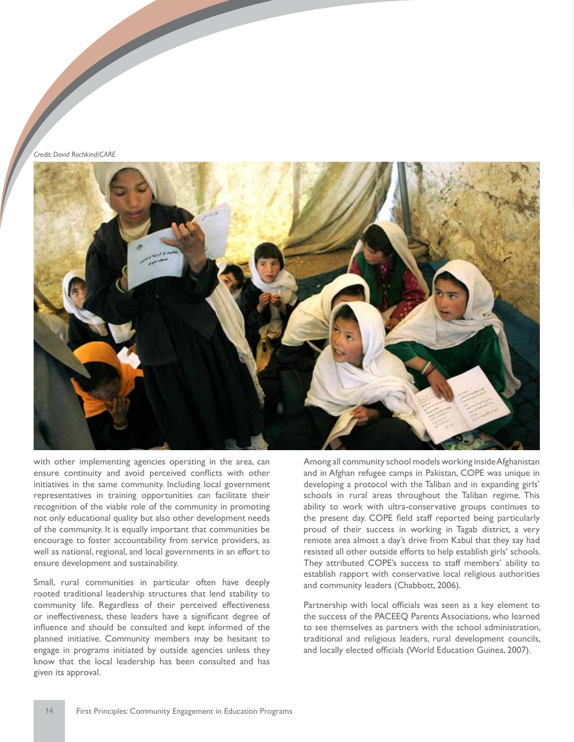*Credit: David Rochkind/CARE*



with other implementing agencies operating in the area, can ensure continuity and avoid perceived conflicts with other initiatives in the same community. Including local government representatives in training opportunities can facilitate their recognition of the viable role of the community in promoting not only educational quality but also other development needs of the community. It is equally important that communities be encourage to foster accountability from service providers, as well as national, regional, and local governments in an effort to ensure development and sustainability.

Small, rural communities in particular often have deeply rooted traditional leadership structures that lend stability to community life. Regardless of their perceived effectiveness or ineffectiveness, these leaders have a significant degree of influence and should be consulted and kept informed of the planned initiative. Community members may be hesitant to engage in programs initiated by outside agencies unless they know that the local leadership has been consulted and has given its approval.

Among all community school models working inside Afghanistan and in Afghan refugee camps in Pakistan, COPE was unique in developing a protocol with the Taliban and in expanding girls' schools in rural areas throughout the Taliban regime. This ability to work with ultra-conservative groups continues to the present day. COPE field staff reported being particularly proud of their success in working in Tagab district, a very remote area almost a day's drive from Kabul that they say had resisted all other outside efforts to help establish girls' schools. They attributed COPE's success to staff members' ability to establish rapport with conservative local religious authorities and community leaders (Chabbott, 2006).

Partnership with local officials was seen as a key element to the success of the PACEEQ Parents Associations, who learned to see themselves as partners with the school administration, traditional and religious leaders, rural development councils, and locally elected officials (World Education Guinea, 2007).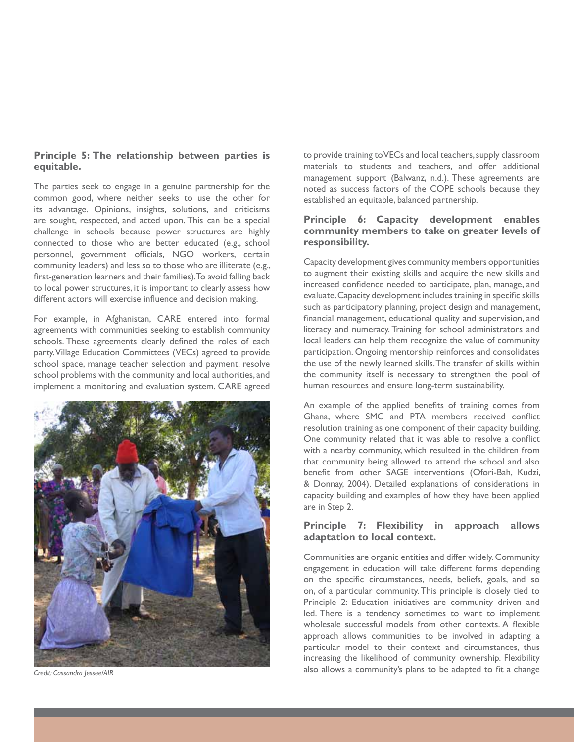### **Principle 5: The relationship between parties is equitable.**

The parties seek to engage in a genuine partnership for the common good, where neither seeks to use the other for its advantage. Opinions, insights, solutions, and criticisms are sought, respected, and acted upon. This can be a special challenge in schools because power structures are highly connected to those who are better educated (e.g., school personnel, government officials, NGO workers, certain community leaders) and less so to those who are illiterate (e.g., first-generation learners and their families). To avoid falling back to local power structures, it is important to clearly assess how different actors will exercise influence and decision making.

For example, in Afghanistan, CARE entered into formal agreements with communities seeking to establish community schools. These agreements clearly defined the roles of each party. Village Education Committees (VECs) agreed to provide school space, manage teacher selection and payment, resolve school problems with the community and local authorities, and implement a monitoring and evaluation system. CARE agreed

![](_page_18_Picture_3.jpeg)

*Credit: Cassandra Jessee/AIR*

to provide training to VECs and local teachers, supply classroom materials to students and teachers, and offer additional management support (Balwanz, n.d.). These agreements are noted as success factors of the COPE schools because they established an equitable, balanced partnership.

### **Principle 6: Capacity development enables community members to take on greater levels of responsibility.**

Capacity development gives community members opportunities to augment their existing skills and acquire the new skills and increased confidence needed to participate, plan, manage, and evaluate. Capacity development includes training in specific skills such as participatory planning, project design and management, financial management, educational quality and supervision, and literacy and numeracy. Training for school administrators and local leaders can help them recognize the value of community participation. Ongoing mentorship reinforces and consolidates the use of the newly learned skills. The transfer of skills within the community itself is necessary to strengthen the pool of human resources and ensure long-term sustainability.

An example of the applied benefits of training comes from Ghana, where SMC and PTA members received conflict resolution training as one component of their capacity building. One community related that it was able to resolve a conflict with a nearby community, which resulted in the children from that community being allowed to attend the school and also benefit from other SAGE interventions (Ofori-Bah, Kudzi, & Donnay, 2004). Detailed explanations of considerations in capacity building and examples of how they have been applied are in Step 2.

### **Principle 7: Flexibility in approach allows adaptation to local context.**

Communities are organic entities and differ widely. Community engagement in education will take different forms depending on the specific circumstances, needs, beliefs, goals, and so on, of a particular community. This principle is closely tied to Principle 2: Education initiatives are community driven and led. There is a tendency sometimes to want to implement wholesale successful models from other contexts. A flexible approach allows communities to be involved in adapting a particular model to their context and circumstances, thus increasing the likelihood of community ownership. Flexibility also allows a community's plans to be adapted to fit a change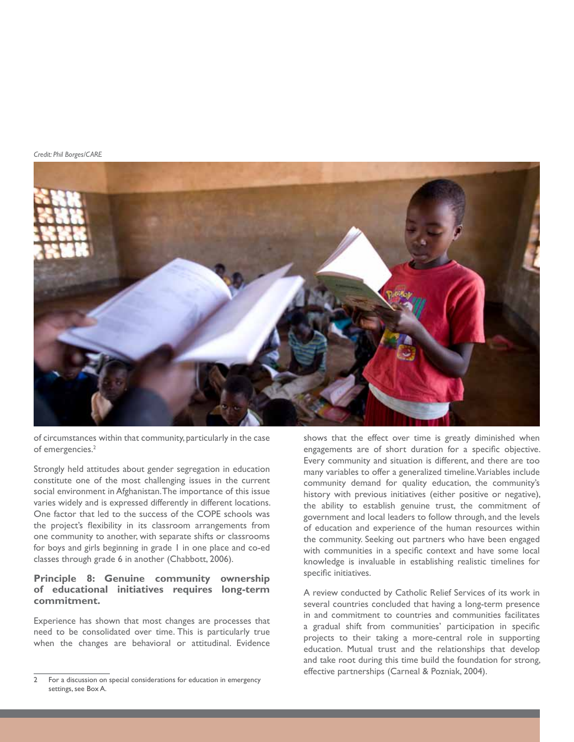*Credit: Phil Borges/CARE*

![](_page_19_Picture_1.jpeg)

of circumstances within that community, particularly in the case of emergencies.<sup>2</sup>

Strongly held attitudes about gender segregation in education constitute one of the most challenging issues in the current social environment in Afghanistan. The importance of this issue varies widely and is expressed differently in different locations. One factor that led to the success of the COPE schools was the project's flexibility in its classroom arrangements from one community to another, with separate shifts or classrooms for boys and girls beginning in grade 1 in one place and co-ed classes through grade 6 in another (Chabbott, 2006).

### **Principle 8: Genuine community ownership of educational initiatives requires long-term commitment.**

Experience has shown that most changes are processes that need to be consolidated over time. This is particularly true when the changes are behavioral or attitudinal. Evidence

shows that the effect over time is greatly diminished when engagements are of short duration for a specific objective. Every community and situation is different, and there are too many variables to offer a generalized timeline. Variables include community demand for quality education, the community's history with previous initiatives (either positive or negative), the ability to establish genuine trust, the commitment of government and local leaders to follow through, and the levels of education and experience of the human resources within the community. Seeking out partners who have been engaged with communities in a specific context and have some local knowledge is invaluable in establishing realistic timelines for specific initiatives.

A review conducted by Catholic Relief Services of its work in several countries concluded that having a long-term presence in and commitment to countries and communities facilitates a gradual shift from communities' participation in specific projects to their taking a more-central role in supporting education. Mutual trust and the relationships that develop and take root during this time build the foundation for strong, effective partnerships (Carneal & Pozniak, 2004).

<sup>2</sup> For a discussion on special considerations for education in emergency settings, see Box A.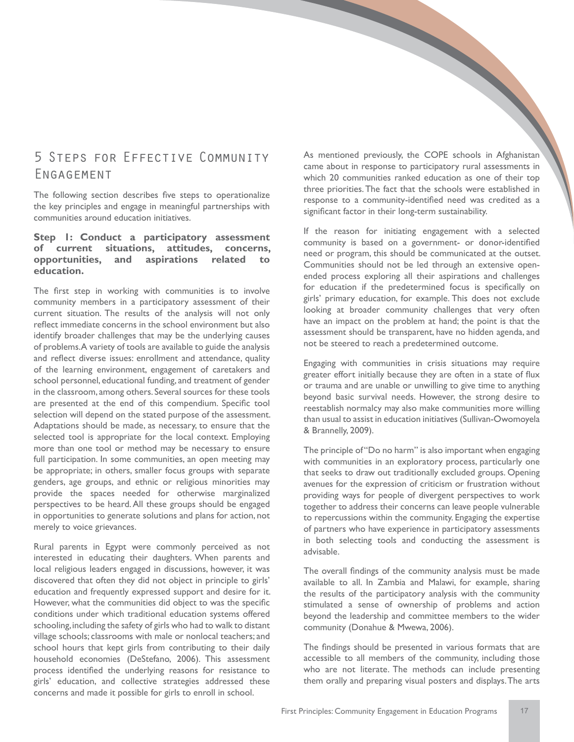# 5 Steps for Effective Community Engagement

The following section describes five steps to operationalize the key principles and engage in meaningful partnerships with communities around education initiatives.

### **Step 1: Conduct a participatory assessment of current situations, attitudes, concerns, opportunities, and aspirations related to education.**

The first step in working with communities is to involve community members in a participatory assessment of their current situation. The results of the analysis will not only reflect immediate concerns in the school environment but also identify broader challenges that may be the underlying causes of problems. A variety of tools are available to guide the analysis and reflect diverse issues: enrollment and attendance, quality of the learning environment, engagement of caretakers and school personnel, educational funding, and treatment of gender in the classroom, among others. Several sources for these tools are presented at the end of this compendium. Specific tool selection will depend on the stated purpose of the assessment. Adaptations should be made, as necessary, to ensure that the selected tool is appropriate for the local context. Employing more than one tool or method may be necessary to ensure full participation. In some communities, an open meeting may be appropriate; in others, smaller focus groups with separate genders, age groups, and ethnic or religious minorities may provide the spaces needed for otherwise marginalized perspectives to be heard. All these groups should be engaged in opportunities to generate solutions and plans for action, not merely to voice grievances.

Rural parents in Egypt were commonly perceived as not interested in educating their daughters. When parents and local religious leaders engaged in discussions, however, it was discovered that often they did not object in principle to girls' education and frequently expressed support and desire for it. However, what the communities did object to was the specific conditions under which traditional education systems offered schooling, including the safety of girls who had to walk to distant village schools; classrooms with male or nonlocal teachers; and school hours that kept girls from contributing to their daily household economies (DeStefano, 2006). This assessment process identified the underlying reasons for resistance to girls' education, and collective strategies addressed these concerns and made it possible for girls to enroll in school.

As mentioned previously, the COPE schools in Afghanistan came about in response to participatory rural assessments in which 20 communities ranked education as one of their top three priorities. The fact that the schools were established in response to a community-identified need was credited as a significant factor in their long-term sustainability.

If the reason for initiating engagement with a selected community is based on a government- or donor-identified need or program, this should be communicated at the outset. Communities should not be led through an extensive openended process exploring all their aspirations and challenges for education if the predetermined focus is specifically on girls' primary education, for example. This does not exclude looking at broader community challenges that very often have an impact on the problem at hand; the point is that the assessment should be transparent, have no hidden agenda, and not be steered to reach a predetermined outcome.

Engaging with communities in crisis situations may require greater effort initially because they are often in a state of flux or trauma and are unable or unwilling to give time to anything beyond basic survival needs. However, the strong desire to reestablish normalcy may also make communities more willing than usual to assist in education initiatives (Sullivan-Owomoyela & Brannelly, 2009).

The principle of "Do no harm" is also important when engaging with communities in an exploratory process, particularly one that seeks to draw out traditionally excluded groups. Opening avenues for the expression of criticism or frustration without providing ways for people of divergent perspectives to work together to address their concerns can leave people vulnerable to repercussions within the community. Engaging the expertise of partners who have experience in participatory assessments in both selecting tools and conducting the assessment is advisable.

The overall findings of the community analysis must be made available to all. In Zambia and Malawi, for example, sharing the results of the participatory analysis with the community stimulated a sense of ownership of problems and action beyond the leadership and committee members to the wider community (Donahue & Mwewa, 2006).

The findings should be presented in various formats that are accessible to all members of the community, including those who are not literate. The methods can include presenting them orally and preparing visual posters and displays. The arts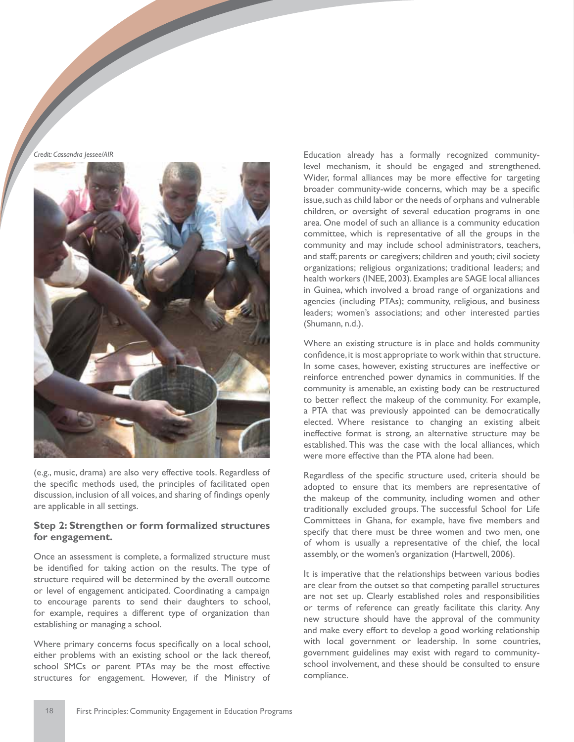*Credit: Cassandra Jessee/AIR*

![](_page_21_Picture_1.jpeg)

(e.g., music, drama) are also very effective tools. Regardless of the specific methods used, the principles of facilitated open discussion, inclusion of all voices, and sharing of findings openly are applicable in all settings.

### **Step 2: Strengthen or form formalized structures for engagement.**

Once an assessment is complete, a formalized structure must be identified for taking action on the results. The type of structure required will be determined by the overall outcome or level of engagement anticipated. Coordinating a campaign to encourage parents to send their daughters to school, for example, requires a different type of organization than establishing or managing a school.

Where primary concerns focus specifically on a local school, either problems with an existing school or the lack thereof, school SMCs or parent PTAs may be the most effective structures for engagement. However, if the Ministry of

Education already has a formally recognized communitylevel mechanism, it should be engaged and strengthened. Wider, formal alliances may be more effective for targeting broader community-wide concerns, which may be a specific issue, such as child labor or the needs of orphans and vulnerable children, or oversight of several education programs in one area. One model of such an alliance is a community education committee, which is representative of all the groups in the community and may include school administrators, teachers, and staff; parents or caregivers; children and youth; civil society organizations; religious organizations; traditional leaders; and health workers (INEE, 2003). Examples are SAGE local alliances in Guinea, which involved a broad range of organizations and agencies (including PTAs); community, religious, and business leaders; women's associations; and other interested parties (Shumann, n.d.).

Where an existing structure is in place and holds community confidence, it is most appropriate to work within that structure. In some cases, however, existing structures are ineffective or reinforce entrenched power dynamics in communities. If the community is amenable, an existing body can be restructured to better reflect the makeup of the community. For example, a PTA that was previously appointed can be democratically elected. Where resistance to changing an existing albeit ineffective format is strong, an alternative structure may be established. This was the case with the local alliances, which were more effective than the PTA alone had been.

Regardless of the specific structure used, criteria should be adopted to ensure that its members are representative of the makeup of the community, including women and other traditionally excluded groups. The successful School for Life Committees in Ghana, for example, have five members and specify that there must be three women and two men, one of whom is usually a representative of the chief, the local assembly, or the women's organization (Hartwell, 2006).

It is imperative that the relationships between various bodies are clear from the outset so that competing parallel structures are not set up. Clearly established roles and responsibilities or terms of reference can greatly facilitate this clarity. Any new structure should have the approval of the community and make every effort to develop a good working relationship with local government or leadership. In some countries, government guidelines may exist with regard to communityschool involvement, and these should be consulted to ensure compliance.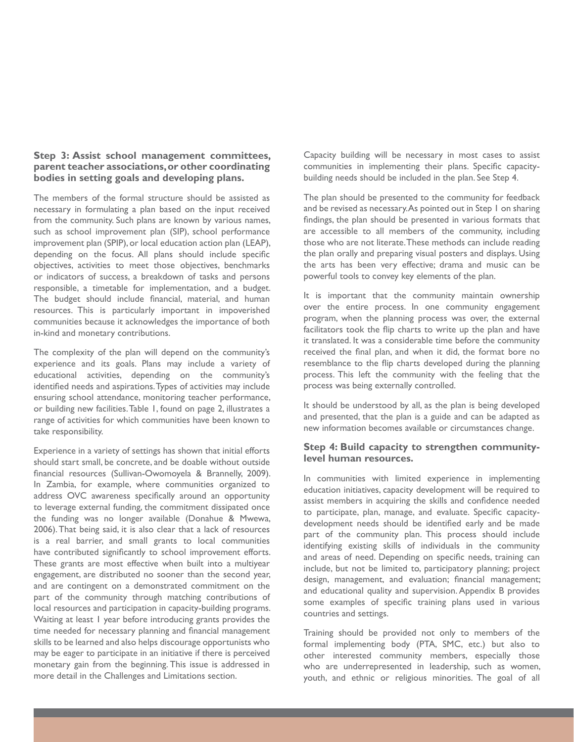### **Step 3: Assist school management committees, parent teacher associations, or other coordinating bodies in setting goals and developing plans.**

The members of the formal structure should be assisted as necessary in formulating a plan based on the input received from the community. Such plans are known by various names, such as school improvement plan (SIP), school performance improvement plan (SPIP), or local education action plan (LEAP), depending on the focus. All plans should include specific objectives, activities to meet those objectives, benchmarks or indicators of success, a breakdown of tasks and persons responsible, a timetable for implementation, and a budget. The budget should include financial, material, and human resources. This is particularly important in impoverished communities because it acknowledges the importance of both in-kind and monetary contributions.

The complexity of the plan will depend on the community's experience and its goals. Plans may include a variety of educational activities, depending on the community's identified needs and aspirations. Types of activities may include ensuring school attendance, monitoring teacher performance, or building new facilities. Table 1, found on page 2, illustrates a range of activities for which communities have been known to take responsibility.

Experience in a variety of settings has shown that initial efforts should start small, be concrete, and be doable without outside financial resources (Sullivan-Owomoyela & Brannelly, 2009). In Zambia, for example, where communities organized to address OVC awareness specifically around an opportunity to leverage external funding, the commitment dissipated once the funding was no longer available (Donahue & Mwewa, 2006). That being said, it is also clear that a lack of resources is a real barrier, and small grants to local communities have contributed significantly to school improvement efforts. These grants are most effective when built into a multiyear engagement, are distributed no sooner than the second year, and are contingent on a demonstrated commitment on the part of the community through matching contributions of local resources and participation in capacity-building programs. Waiting at least 1 year before introducing grants provides the time needed for necessary planning and financial management skills to be learned and also helps discourage opportunists who may be eager to participate in an initiative if there is perceived monetary gain from the beginning. This issue is addressed in more detail in the Challenges and Limitations section.

Capacity building will be necessary in most cases to assist communities in implementing their plans. Specific capacitybuilding needs should be included in the plan. See Step 4.

The plan should be presented to the community for feedback and be revised as necessary. As pointed out in Step 1 on sharing findings, the plan should be presented in various formats that are accessible to all members of the community, including those who are not literate. These methods can include reading the plan orally and preparing visual posters and displays. Using the arts has been very effective; drama and music can be powerful tools to convey key elements of the plan.

It is important that the community maintain ownership over the entire process. In one community engagement program, when the planning process was over, the external facilitators took the flip charts to write up the plan and have it translated. It was a considerable time before the community received the final plan, and when it did, the format bore no resemblance to the flip charts developed during the planning process. This left the community with the feeling that the process was being externally controlled.

It should be understood by all, as the plan is being developed and presented, that the plan is a guide and can be adapted as new information becomes available or circumstances change.

### **Step 4: Build capacity to strengthen communitylevel human resources.**

In communities with limited experience in implementing education initiatives, capacity development will be required to assist members in acquiring the skills and confidence needed to participate, plan, manage, and evaluate. Specific capacitydevelopment needs should be identified early and be made part of the community plan. This process should include identifying existing skills of individuals in the community and areas of need. Depending on specific needs, training can include, but not be limited to, participatory planning; project design, management, and evaluation; financial management; and educational quality and supervision. Appendix B provides some examples of specific training plans used in various countries and settings.

Training should be provided not only to members of the formal implementing body (PTA, SMC, etc.) but also to other interested community members, especially those who are underrepresented in leadership, such as women, youth, and ethnic or religious minorities. The goal of all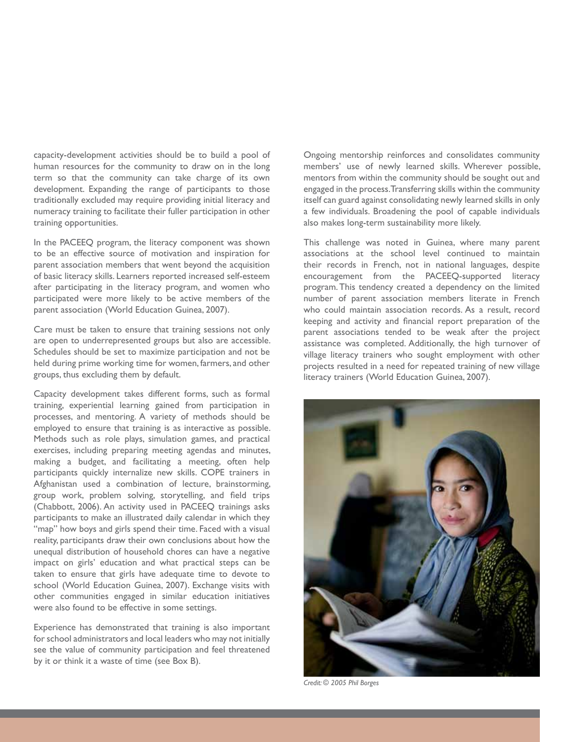capacity-development activities should be to build a pool of human resources for the community to draw on in the long term so that the community can take charge of its own development. Expanding the range of participants to those traditionally excluded may require providing initial literacy and numeracy training to facilitate their fuller participation in other training opportunities.

In the PACEEQ program, the literacy component was shown to be an effective source of motivation and inspiration for parent association members that went beyond the acquisition of basic literacy skills. Learners reported increased self-esteem after participating in the literacy program, and women who participated were more likely to be active members of the parent association (World Education Guinea, 2007).

Care must be taken to ensure that training sessions not only are open to underrepresented groups but also are accessible. Schedules should be set to maximize participation and not be held during prime working time for women, farmers, and other groups, thus excluding them by default.

Capacity development takes different forms, such as formal training, experiential learning gained from participation in processes, and mentoring. A variety of methods should be employed to ensure that training is as interactive as possible. Methods such as role plays, simulation games, and practical exercises, including preparing meeting agendas and minutes, making a budget, and facilitating a meeting, often help participants quickly internalize new skills. COPE trainers in Afghanistan used a combination of lecture, brainstorming, group work, problem solving, storytelling, and field trips (Chabbott, 2006). An activity used in PACEEQ trainings asks participants to make an illustrated daily calendar in which they "map" how boys and girls spend their time. Faced with a visual reality, participants draw their own conclusions about how the unequal distribution of household chores can have a negative impact on girls' education and what practical steps can be taken to ensure that girls have adequate time to devote to school (World Education Guinea, 2007). Exchange visits with other communities engaged in similar education initiatives were also found to be effective in some settings.

Experience has demonstrated that training is also important for school administrators and local leaders who may not initially see the value of community participation and feel threatened by it or think it a waste of time (see Box B).

Ongoing mentorship reinforces and consolidates community members' use of newly learned skills. Wherever possible, mentors from within the community should be sought out and engaged in the process. Transferring skills within the community itself can guard against consolidating newly learned skills in only a few individuals. Broadening the pool of capable individuals also makes long-term sustainability more likely.

This challenge was noted in Guinea, where many parent associations at the school level continued to maintain their records in French, not in national languages, despite encouragement from the PACEEQ-supported literacy program. This tendency created a dependency on the limited number of parent association members literate in French who could maintain association records. As a result, record keeping and activity and financial report preparation of the parent associations tended to be weak after the project assistance was completed. Additionally, the high turnover of village literacy trainers who sought employment with other projects resulted in a need for repeated training of new village literacy trainers (World Education Guinea, 2007).

![](_page_23_Picture_7.jpeg)

*Credit: © 2005 Phil Borges*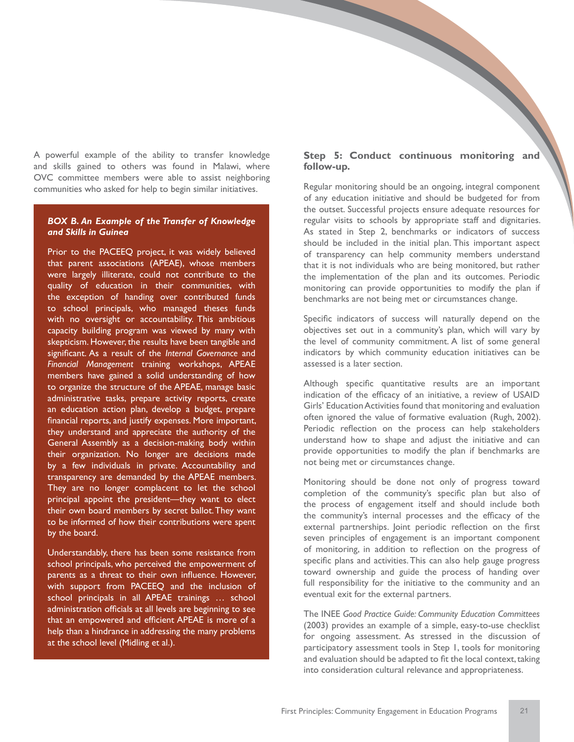A powerful example of the ability to transfer knowledge and skills gained to others was found in Malawi, where OVC committee members were able to assist neighboring communities who asked for help to begin similar initiatives.

### *BOX B. An Example of the Transfer of Knowledge and Skills in Guinea*

Prior to the PACEEQ project, it was widely believed that parent associations (APEAE), whose members were largely illiterate, could not contribute to the quality of education in their communities, with the exception of handing over contributed funds to school principals, who managed theses funds with no oversight or accountability. This ambitious capacity building program was viewed by many with skepticism. However, the results have been tangible and significant. As a result of the *Internal Governance* and *Financial Management* training workshops, APEAE members have gained a solid understanding of how to organize the structure of the APEAE, manage basic administrative tasks, prepare activity reports, create an education action plan, develop a budget, prepare financial reports, and justify expenses. More important, they understand and appreciate the authority of the General Assembly as a decision-making body within their organization. No longer are decisions made by a few individuals in private. Accountability and transparency are demanded by the APEAE members. They are no longer complacent to let the school principal appoint the president—they want to elect their own board members by secret ballot. They want to be informed of how their contributions were spent by the board.

Understandably, there has been some resistance from school principals, who perceived the empowerment of parents as a threat to their own influence. However, with support from PACEEQ and the inclusion of school principals in all APEAE trainings … school administration officials at all levels are beginning to see that an empowered and efficient APEAE is more of a help than a hindrance in addressing the many problems at the school level (Midling et al.).

### **Step 5: Conduct continuous monitoring and follow-up.**

Regular monitoring should be an ongoing, integral component of any education initiative and should be budgeted for from the outset. Successful projects ensure adequate resources for regular visits to schools by appropriate staff and dignitaries. As stated in Step 2, benchmarks or indicators of success should be included in the initial plan. This important aspect of transparency can help community members understand that it is not individuals who are being monitored, but rather the implementation of the plan and its outcomes. Periodic monitoring can provide opportunities to modify the plan if benchmarks are not being met or circumstances change.

Specific indicators of success will naturally depend on the objectives set out in a community's plan, which will vary by the level of community commitment. A list of some general indicators by which community education initiatives can be assessed is a later section.

Although specific quantitative results are an important indication of the efficacy of an initiative, a review of USAID Girls' Education Activities found that monitoring and evaluation often ignored the value of formative evaluation (Rugh, 2002). Periodic reflection on the process can help stakeholders understand how to shape and adjust the initiative and can provide opportunities to modify the plan if benchmarks are not being met or circumstances change.

Monitoring should be done not only of progress toward completion of the community's specific plan but also of the process of engagement itself and should include both the community's internal processes and the efficacy of the external partnerships. Joint periodic reflection on the first seven principles of engagement is an important component of monitoring, in addition to reflection on the progress of specific plans and activities. This can also help gauge progress toward ownership and guide the process of handing over full responsibility for the initiative to the community and an eventual exit for the external partners.

The INEE *Good Practice Guide: Community Education Committees* (2003) provides an example of a simple, easy-to-use checklist for ongoing assessment. As stressed in the discussion of participatory assessment tools in Step 1, tools for monitoring and evaluation should be adapted to fit the local context, taking into consideration cultural relevance and appropriateness.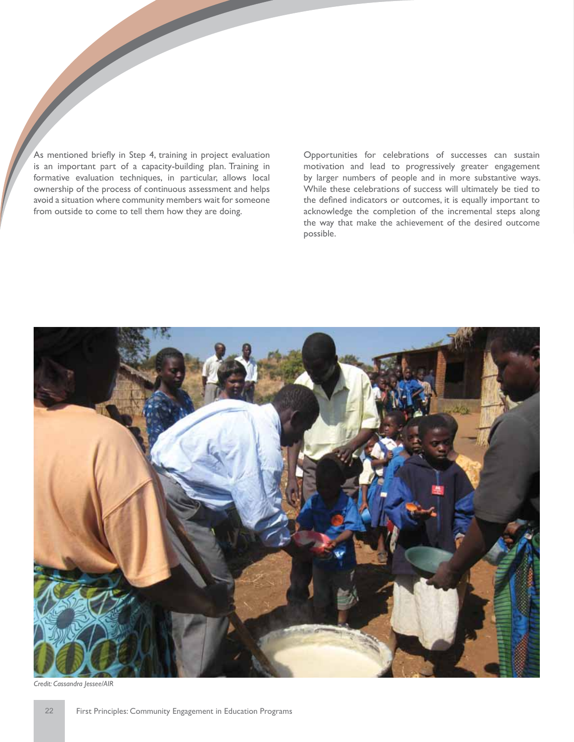As mentioned briefly in Step 4, training in project evaluation is an important part of a capacity-building plan. Training in formative evaluation techniques, in particular, allows local ownership of the process of continuous assessment and helps avoid a situation where community members wait for someone from outside to come to tell them how they are doing.

Opportunities for celebrations of successes can sustain motivation and lead to progressively greater engagement by larger numbers of people and in more substantive ways. While these celebrations of success will ultimately be tied to the defined indicators or outcomes, it is equally important to acknowledge the completion of the incremental steps along the way that make the achievement of the desired outcome possible.

![](_page_25_Picture_2.jpeg)

*Credit: Cassandra Jessee/AIR*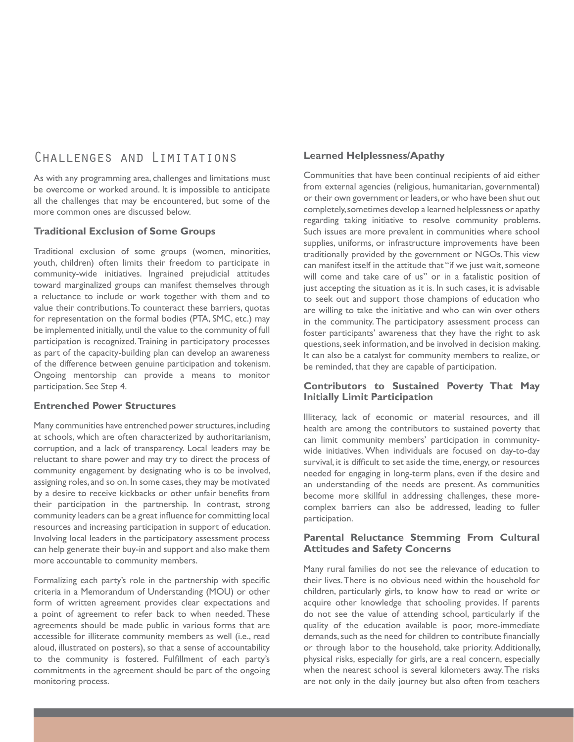### Challenges and Limitations

As with any programming area, challenges and limitations must be overcome or worked around. It is impossible to anticipate all the challenges that may be encountered, but some of the more common ones are discussed below.

### **Traditional Exclusion of Some Groups**

Traditional exclusion of some groups (women, minorities, youth, children) often limits their freedom to participate in community-wide initiatives. Ingrained prejudicial attitudes toward marginalized groups can manifest themselves through a reluctance to include or work together with them and to value their contributions. To counteract these barriers, quotas for representation on the formal bodies (PTA, SMC, etc.) may be implemented initially, until the value to the community of full participation is recognized. Training in participatory processes as part of the capacity-building plan can develop an awareness of the difference between genuine participation and tokenism. Ongoing mentorship can provide a means to monitor participation. See Step 4.

### **Entrenched Power Structures**

Many communities have entrenched power structures, including at schools, which are often characterized by authoritarianism, corruption, and a lack of transparency. Local leaders may be reluctant to share power and may try to direct the process of community engagement by designating who is to be involved, assigning roles, and so on. In some cases, they may be motivated by a desire to receive kickbacks or other unfair benefits from their participation in the partnership. In contrast, strong community leaders can be a great influence for committing local resources and increasing participation in support of education. Involving local leaders in the participatory assessment process can help generate their buy-in and support and also make them more accountable to community members.

Formalizing each party's role in the partnership with specific criteria in a Memorandum of Understanding (MOU) or other form of written agreement provides clear expectations and a point of agreement to refer back to when needed. These agreements should be made public in various forms that are accessible for illiterate community members as well (i.e., read aloud, illustrated on posters), so that a sense of accountability to the community is fostered. Fulfillment of each party's commitments in the agreement should be part of the ongoing monitoring process.

### **Learned Helplessness/Apathy**

Communities that have been continual recipients of aid either from external agencies (religious, humanitarian, governmental) or their own government or leaders, or who have been shut out completely, sometimes develop a learned helplessness or apathy regarding taking initiative to resolve community problems. Such issues are more prevalent in communities where school supplies, uniforms, or infrastructure improvements have been traditionally provided by the government or NGOs. This view can manifest itself in the attitude that "if we just wait, someone will come and take care of us" or in a fatalistic position of just accepting the situation as it is. In such cases, it is advisable to seek out and support those champions of education who are willing to take the initiative and who can win over others in the community. The participatory assessment process can foster participants' awareness that they have the right to ask questions, seek information, and be involved in decision making. It can also be a catalyst for community members to realize, or be reminded, that they are capable of participation.

### **Contributors to Sustained Poverty That May Initially Limit Participation**

Illiteracy, lack of economic or material resources, and ill health are among the contributors to sustained poverty that can limit community members' participation in communitywide initiatives. When individuals are focused on day-to-day survival, it is difficult to set aside the time, energy, or resources needed for engaging in long-term plans, even if the desire and an understanding of the needs are present. As communities become more skillful in addressing challenges, these morecomplex barriers can also be addressed, leading to fuller participation.

### **Parental Reluctance Stemming From Cultural Attitudes and Safety Concerns**

Many rural families do not see the relevance of education to their lives. There is no obvious need within the household for children, particularly girls, to know how to read or write or acquire other knowledge that schooling provides. If parents do not see the value of attending school, particularly if the quality of the education available is poor, more-immediate demands, such as the need for children to contribute financially or through labor to the household, take priority. Additionally, physical risks, especially for girls, are a real concern, especially when the nearest school is several kilometers away. The risks are not only in the daily journey but also often from teachers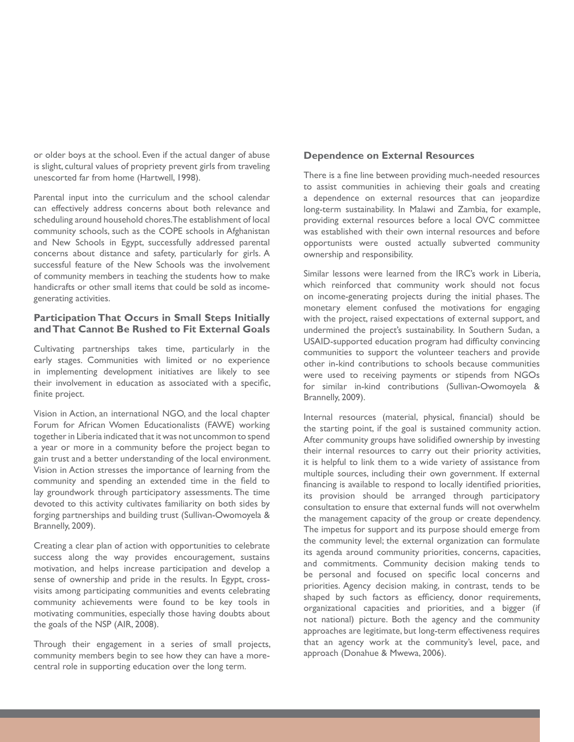or older boys at the school. Even if the actual danger of abuse is slight, cultural values of propriety prevent girls from traveling unescorted far from home (Hartwell, 1998).

Parental input into the curriculum and the school calendar can effectively address concerns about both relevance and scheduling around household chores. The establishment of local community schools, such as the COPE schools in Afghanistan and New Schools in Egypt, successfully addressed parental concerns about distance and safety, particularly for girls. A successful feature of the New Schools was the involvement of community members in teaching the students how to make handicrafts or other small items that could be sold as incomegenerating activities.

### **Participation That Occurs in Small Steps Initially and That Cannot Be Rushed to Fit External Goals**

Cultivating partnerships takes time, particularly in the early stages. Communities with limited or no experience in implementing development initiatives are likely to see their involvement in education as associated with a specific, finite project.

Vision in Action, an international NGO, and the local chapter Forum for African Women Educationalists (FAWE) working together in Liberia indicated that it was not uncommon to spend a year or more in a community before the project began to gain trust and a better understanding of the local environment. Vision in Action stresses the importance of learning from the community and spending an extended time in the field to lay groundwork through participatory assessments. The time devoted to this activity cultivates familiarity on both sides by forging partnerships and building trust (Sullivan-Owomoyela & Brannelly, 2009).

Creating a clear plan of action with opportunities to celebrate success along the way provides encouragement, sustains motivation, and helps increase participation and develop a sense of ownership and pride in the results. In Egypt, crossvisits among participating communities and events celebrating community achievements were found to be key tools in motivating communities, especially those having doubts about the goals of the NSP (AIR, 2008).

Through their engagement in a series of small projects, community members begin to see how they can have a morecentral role in supporting education over the long term.

### **Dependence on External Resources**

There is a fine line between providing much-needed resources to assist communities in achieving their goals and creating a dependence on external resources that can jeopardize long-term sustainability. In Malawi and Zambia, for example, providing external resources before a local OVC committee was established with their own internal resources and before opportunists were ousted actually subverted community ownership and responsibility.

Similar lessons were learned from the IRC's work in Liberia, which reinforced that community work should not focus on income-generating projects during the initial phases. The monetary element confused the motivations for engaging with the project, raised expectations of external support, and undermined the project's sustainability. In Southern Sudan, a USAID-supported education program had difficulty convincing communities to support the volunteer teachers and provide other in-kind contributions to schools because communities were used to receiving payments or stipends from NGOs for similar in-kind contributions (Sullivan-Owomoyela & Brannelly, 2009).

Internal resources (material, physical, financial) should be the starting point, if the goal is sustained community action. After community groups have solidified ownership by investing their internal resources to carry out their priority activities, it is helpful to link them to a wide variety of assistance from multiple sources, including their own government. If external financing is available to respond to locally identified priorities, its provision should be arranged through participatory consultation to ensure that external funds will not overwhelm the management capacity of the group or create dependency. The impetus for support and its purpose should emerge from the community level; the external organization can formulate its agenda around community priorities, concerns, capacities, and commitments. Community decision making tends to be personal and focused on specific local concerns and priorities. Agency decision making, in contrast, tends to be shaped by such factors as efficiency, donor requirements, organizational capacities and priorities, and a bigger (if not national) picture. Both the agency and the community approaches are legitimate, but long-term effectiveness requires that an agency work at the community's level, pace, and approach (Donahue & Mwewa, 2006).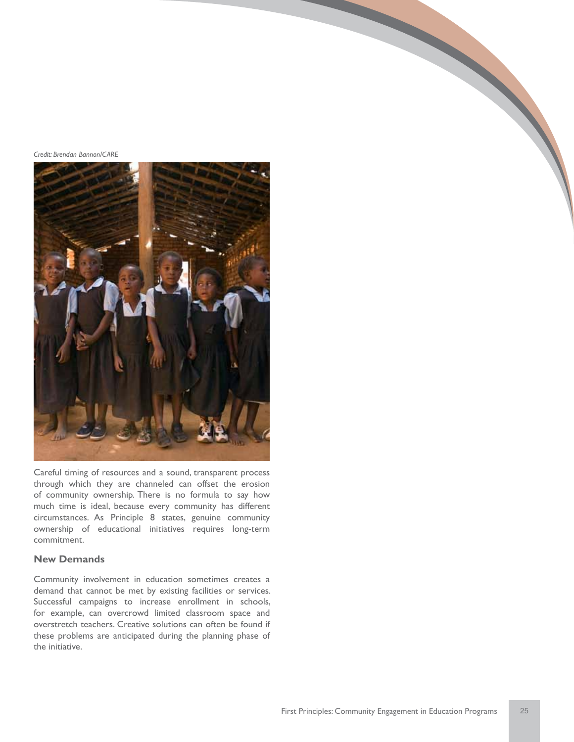*Credit: Brendan Bannon/CARE*

![](_page_28_Picture_1.jpeg)

Careful timing of resources and a sound, transparent process through which they are channeled can offset the erosion of community ownership. There is no formula to say how much time is ideal, because every community has different circumstances. As Principle 8 states, genuine community ownership of educational initiatives requires long-term commitment.

### **New Demands**

Community involvement in education sometimes creates a demand that cannot be met by existing facilities or services. Successful campaigns to increase enrollment in schools, for example, can overcrowd limited classroom space and overstretch teachers. Creative solutions can often be found if these problems are anticipated during the planning phase of the initiative.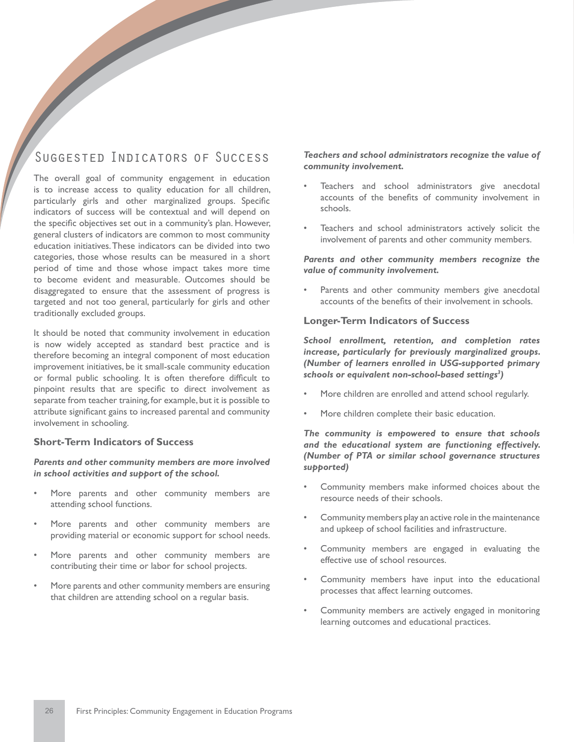# Suggested Indicators of Success

The overall goal of community engagement in education is to increase access to quality education for all children, particularly girls and other marginalized groups. Specific indicators of success will be contextual and will depend on the specific objectives set out in a community's plan. However, general clusters of indicators are common to most community education initiatives. These indicators can be divided into two categories, those whose results can be measured in a short period of time and those whose impact takes more time to become evident and measurable. Outcomes should be disaggregated to ensure that the assessment of progress is targeted and not too general, particularly for girls and other traditionally excluded groups.

It should be noted that community involvement in education is now widely accepted as standard best practice and is therefore becoming an integral component of most education improvement initiatives, be it small-scale community education or formal public schooling. It is often therefore difficult to pinpoint results that are specific to direct involvement as separate from teacher training, for example, but it is possible to attribute significant gains to increased parental and community involvement in schooling.

### **Short-Term Indicators of Success**

### *Parents and other community members are more involved in school activities and support of the school.*

- More parents and other community members are attending school functions.
- More parents and other community members are providing material or economic support for school needs.
- More parents and other community members are contributing their time or labor for school projects.
- More parents and other community members are ensuring that children are attending school on a regular basis.

*Teachers and school administrators recognize the value of community involvement.*

- Teachers and school administrators give anecdotal accounts of the benefits of community involvement in schools.
- Teachers and school administrators actively solicit the involvement of parents and other community members.

### *Parents and other community members recognize the value of community involvement.*

Parents and other community members give anecdotal accounts of the benefits of their involvement in schools.

### **Longer-Term Indicators of Success**

*School enrollment, retention, and completion rates increase, particularly for previously marginalized groups. (Number of learners enrolled in USG-supported primary schools or equivalent non-school-based settings3 )*

- More children are enrolled and attend school regularly.
- More children complete their basic education.

*The community is empowered to ensure that schools and the educational system are functioning effectively. (Number of PTA or similar school governance structures supported)*

- Community members make informed choices about the resource needs of their schools.
- Community members play an active role in the maintenance and upkeep of school facilities and infrastructure.
- Community members are engaged in evaluating the effective use of school resources.
- Community members have input into the educational processes that affect learning outcomes.
- Community members are actively engaged in monitoring learning outcomes and educational practices.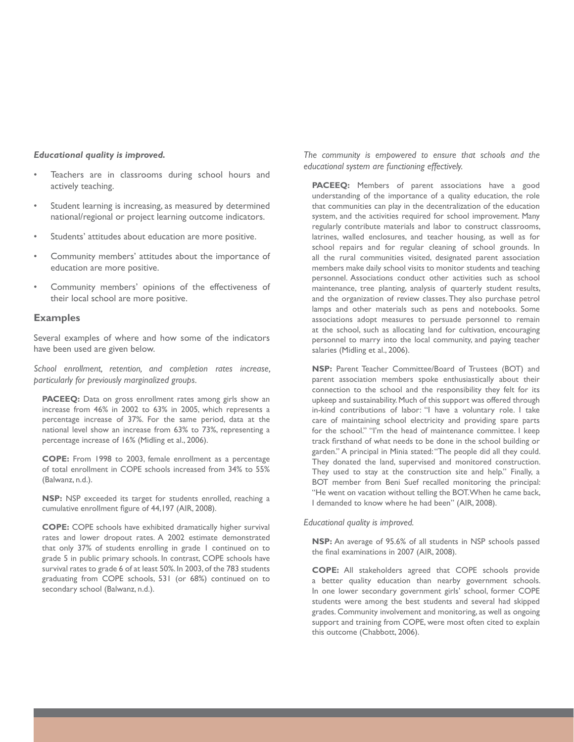#### *Educational quality is improved.*

- Teachers are in classrooms during school hours and actively teaching.
- Student learning is increasing, as measured by determined national/regional or project learning outcome indicators.
- Students' attitudes about education are more positive.
- Community members' attitudes about the importance of education are more positive.
- Community members' opinions of the effectiveness of their local school are more positive.

#### **Examples**

Several examples of where and how some of the indicators have been used are given below.

*School enrollment, retention, and completion rates increase, particularly for previously marginalized groups.*

**PACEEQ:** Data on gross enrollment rates among girls show an increase from 46% in 2002 to 63% in 2005, which represents a percentage increase of 37%. For the same period, data at the national level show an increase from 63% to 73%, representing a percentage increase of 16% (Midling et al., 2006).

**COPE:** From 1998 to 2003, female enrollment as a percentage of total enrollment in COPE schools increased from 34% to 55% (Balwanz, n.d.).

**NSP:** NSP exceeded its target for students enrolled, reaching a cumulative enrollment figure of 44,197 (AIR, 2008).

**COPE:** COPE schools have exhibited dramatically higher survival rates and lower dropout rates. A 2002 estimate demonstrated that only 37% of students enrolling in grade 1 continued on to grade 5 in public primary schools. In contrast, COPE schools have survival rates to grade 6 of at least 50%. In 2003, of the 783 students graduating from COPE schools, 531 (or 68%) continued on to secondary school (Balwanz, n.d.).

*The community is empowered to ensure that schools and the educational system are functioning effectively.* 

PACEEQ: Members of parent associations have a good understanding of the importance of a quality education, the role that communities can play in the decentralization of the education system, and the activities required for school improvement. Many regularly contribute materials and labor to construct classrooms, latrines, walled enclosures, and teacher housing, as well as for school repairs and for regular cleaning of school grounds. In all the rural communities visited, designated parent association members make daily school visits to monitor students and teaching personnel. Associations conduct other activities such as school maintenance, tree planting, analysis of quarterly student results, and the organization of review classes. They also purchase petrol lamps and other materials such as pens and notebooks. Some associations adopt measures to persuade personnel to remain at the school, such as allocating land for cultivation, encouraging personnel to marry into the local community, and paying teacher salaries (Midling et al., 2006).

**NSP:** Parent Teacher Committee/Board of Trustees (BOT) and parent association members spoke enthusiastically about their connection to the school and the responsibility they felt for its upkeep and sustainability. Much of this support was offered through in-kind contributions of labor: "I have a voluntary role. I take care of maintaining school electricity and providing spare parts for the school." "I'm the head of maintenance committee. I keep track firsthand of what needs to be done in the school building or garden." A principal in Minia stated: "The people did all they could. They donated the land, supervised and monitored construction. They used to stay at the construction site and help." Finally, a BOT member from Beni Suef recalled monitoring the principal: "He went on vacation without telling the BOT. When he came back, I demanded to know where he had been" (AIR, 2008).

#### *Educational quality is improved.*

**NSP:** An average of 95.6% of all students in NSP schools passed the final examinations in 2007 (AIR, 2008).

**COPE:** All stakeholders agreed that COPE schools provide a better quality education than nearby government schools. In one lower secondary government girls' school, former COPE students were among the best students and several had skipped grades. Community involvement and monitoring, as well as ongoing support and training from COPE, were most often cited to explain this outcome (Chabbott, 2006).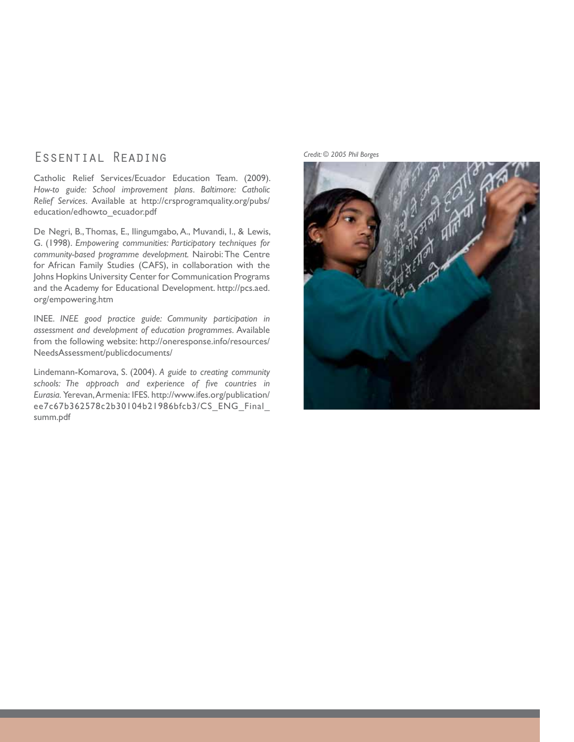# ESSENTIAL READING Credit: © 2005 Phil Borges

Catholic Relief Services/Ecuador Education Team. (2009). *How-to guide: School improvement plans. Baltimore: Catholic Relief Services.* Available at http://crsprogramquality.org/pubs/ education/edhowto\_ecuador.pdf

De Negri, B., Thomas, E., Ilingumgabo, A., Muvandi, I., & Lewis, G. (1998). *Empowering communities: Participatory techniques for community-based programme development.* Nairobi: The Centre for African Family Studies (CAFS), in collaboration with the Johns Hopkins University Center for Communication Programs and the Academy for Educational Development. http://pcs.aed. org/empowering.htm

INEE. *INEE good practice guide: Community participation in assessment and development of education programmes.* Available from the following website: http://oneresponse.info/resources/ NeedsAssessment/publicdocuments/

Lindemann-Komarova, S. (2004). *A guide to creating community schools: The approach and experience of five countries in Eurasia.* Yerevan, Armenia: IFES. http://www.ifes.org/publication/ ee7c67b362578c2b30104b21986bfcb3/CS\_ENG\_Final\_ summ.pdf

![](_page_31_Picture_5.jpeg)

![](_page_31_Picture_6.jpeg)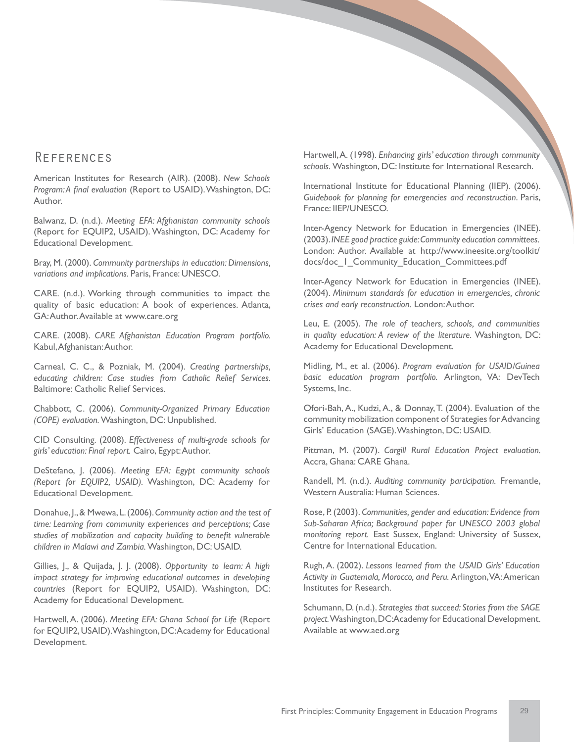### **REFERENCES**

American Institutes for Research (AIR). (2008). *New Schools Program: A final evaluation* (Report to USAID). Washington, DC: Author.

Balwanz, D. (n.d.). *Meeting EFA: Afghanistan community schools*  (Report for EQUIP2, USAID). Washington, DC: Academy for Educational Development.

Bray, M. (2000). *Community partnerships in education: Dimensions, variations and implications.* Paris, France: UNESCO.

CARE. (n.d.). Working through communities to impact the quality of basic education: A book of experiences. Atlanta, GA: Author. Available at www.care.org

CARE. (2008). *CARE Afghanistan Education Program portfolio.*  Kabul, Afghanistan: Author.

Carneal, C. C., & Pozniak, M. (2004). *Creating partnerships, educating children: Case studies from Catholic Relief Services.*  Baltimore: Catholic Relief Services.

Chabbott, C. (2006). *Community-Organized Primary Education (COPE) evaluation.* Washington, DC: Unpublished.

CID Consulting. (2008). *Effectiveness of multi-grade schools for girls' education: Final report.* Cairo, Egypt: Author.

DeStefano, J. (2006). *Meeting EFA: Egypt community schools (Report for EQUIP2, USAID).* Washington, DC: Academy for Educational Development.

Donahue, J., & Mwewa, L. (2006). *Community action and the test of time: Learning from community experiences and perceptions; Case studies of mobilization and capacity building to benefit vulnerable children in Malawi and Zambia.* Washington, DC: USAID.

Gillies, J., & Quijada, J. J. (2008). *Opportunity to learn: A high impact strategy for improving educational outcomes in developing countries* (Report for EQUIP2, USAID). Washington, DC: Academy for Educational Development.

Hartwell, A. (2006). *Meeting EFA: Ghana School for Life* (Report for EQUIP2, USAID). Washington, DC: Academy for Educational Development.

Hartwell, A. (1998). *Enhancing girls' education through community schools.* Washington, DC: Institute for International Research.

International Institute for Educational Planning (IIEP). (2006). *Guidebook for planning for emergencies and reconstruction*. Paris, France: IIEP/UNESCO.

Inter-Agency Network for Education in Emergencies (INEE). (2003). *INEE good practice guide: Community education committees.* London: Author. Available at http://www.ineesite.org/toolkit/ docs/doc\_1\_Community\_Education\_Committees.pdf

Inter-Agency Network for Education in Emergencies (INEE). (2004). *Minimum standards for education in emergencies, chronic crises and early reconstruction.* London: Author.

Leu, E. (2005). *The role of teachers, schools, and communities in quality education: A review of the literature.* Washington, DC: Academy for Educational Development.

Midling, M., et al. (2006). *Program evaluation for USAID/Guinea basic education program portfolio.* Arlington, VA: DevTech Systems, Inc.

Ofori-Bah, A., Kudzi, A., & Donnay, T. (2004). Evaluation of the community mobilization component of Strategies for Advancing Girls' Education (SAGE). Washington, DC: USAID.

Pittman, M. (2007). *Cargill Rural Education Project evaluation.*  Accra, Ghana: CARE Ghana.

Randell, M. (n.d.). *Auditing community participation.* Fremantle, Western Australia: Human Sciences.

Rose, P. (2003). *Communities, gender and education: Evidence from Sub-Saharan Africa; Background paper for UNESCO 2003 global monitoring report.* East Sussex, England: University of Sussex, Centre for International Education.

Rugh, A. (2002). *Lessons learned from the USAID Girls' Education Activity in Guatemala, Morocco, and Peru.* Arlington, VA: American Institutes for Research.

Schumann, D. (n.d.). *Strategies that succeed: Stories from the SAGE project.* Washington, DC: Academy for Educational Development. Available at www.aed.org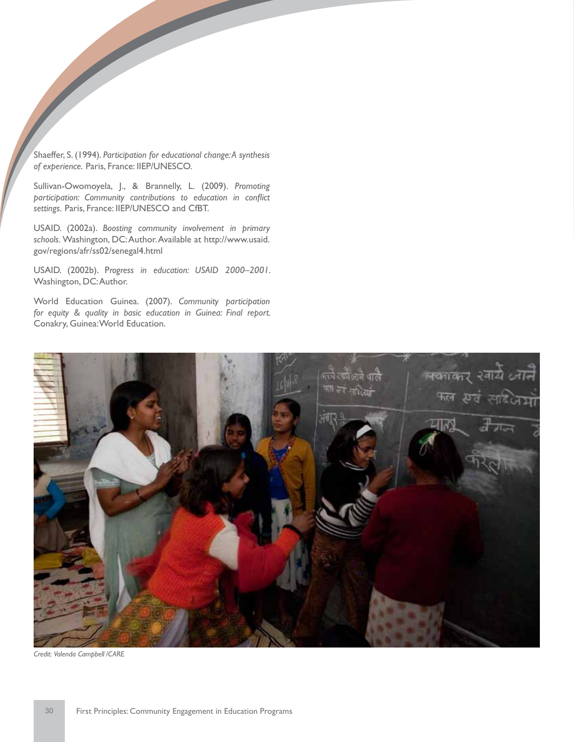Shaeffer, S. (1994). *Participation for educational change: A synthesis of experience.* Paris, France: IIEP/UNESCO.

Sullivan-Owomoyela, J., & Brannelly, L. (2009). *Promoting participation: Community contributions to education in conflict settings.* Paris, France: IIEP/UNESCO and CfBT.

USAID. (2002a). *Boosting community involvement in primary schools.* Washington, DC: Author. Available at http://www.usaid. gov/regions/afr/ss02/senegal4.html

USAID. (2002b). P*rogress in education: USAID 2000–2001.*  Washington, DC: Author.

World Education Guinea. (2007). *Community participation for equity & quality in basic education in Guinea: Final report.*  Conakry, Guinea: World Education.

![](_page_33_Picture_5.jpeg)

*Credit: Valenda Campbell /CARE*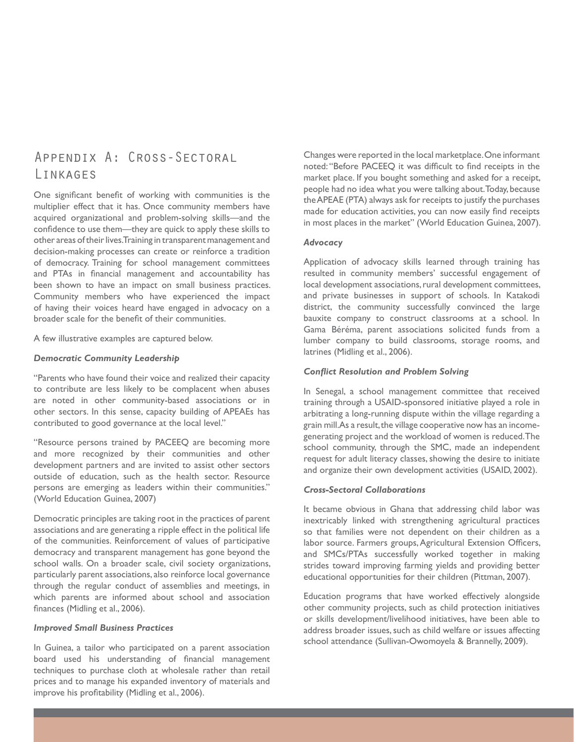# Appendix A: Cross-Sectoral Linkages

One significant benefit of working with communities is the multiplier effect that it has. Once community members have acquired organizational and problem-solving skills—and the confidence to use them—they are quick to apply these skills to other areas of their lives. Training in transparent management and decision-making processes can create or reinforce a tradition of democracy. Training for school management committees and PTAs in financial management and accountability has been shown to have an impact on small business practices. Community members who have experienced the impact of having their voices heard have engaged in advocacy on a broader scale for the benefit of their communities.

A few illustrative examples are captured below.

### *Democratic Community Leadership*

"Parents who have found their voice and realized their capacity to contribute are less likely to be complacent when abuses are noted in other community-based associations or in other sectors. In this sense, capacity building of APEAEs has contributed to good governance at the local level."

"Resource persons trained by PACEEQ are becoming more and more recognized by their communities and other development partners and are invited to assist other sectors outside of education, such as the health sector. Resource persons are emerging as leaders within their communities." (World Education Guinea, 2007)

Democratic principles are taking root in the practices of parent associations and are generating a ripple effect in the political life of the communities. Reinforcement of values of participative democracy and transparent management has gone beyond the school walls. On a broader scale, civil society organizations, particularly parent associations, also reinforce local governance through the regular conduct of assemblies and meetings, in which parents are informed about school and association finances (Midling et al., 2006).

### *Improved Small Business Practices*

In Guinea, a tailor who participated on a parent association board used his understanding of financial management techniques to purchase cloth at wholesale rather than retail prices and to manage his expanded inventory of materials and improve his profitability (Midling et al., 2006).

Changes were reported in the local marketplace. One informant noted: "Before PACEEQ it was difficult to find receipts in the market place. If you bought something and asked for a receipt, people had no idea what you were talking about. Today, because the APEAE (PTA) always ask for receipts to justify the purchases made for education activities, you can now easily find receipts in most places in the market" (World Education Guinea, 2007).

#### *Advocacy*

Application of advocacy skills learned through training has resulted in community members' successful engagement of local development associations, rural development committees, and private businesses in support of schools. In Katakodi district, the community successfully convinced the large bauxite company to construct classrooms at a school. In Gama Béréma, parent associations solicited funds from a lumber company to build classrooms, storage rooms, and latrines (Midling et al., 2006).

#### *Conflict Resolution and Problem Solving*

In Senegal, a school management committee that received training through a USAID-sponsored initiative played a role in arbitrating a long-running dispute within the village regarding a grain mill. As a result, the village cooperative now has an incomegenerating project and the workload of women is reduced. The school community, through the SMC, made an independent request for adult literacy classes, showing the desire to initiate and organize their own development activities (USAID, 2002).

### *Cross-Sectoral Collaborations*

It became obvious in Ghana that addressing child labor was inextricably linked with strengthening agricultural practices so that families were not dependent on their children as a labor source. Farmers groups, Agricultural Extension Officers, and SMCs/PTAs successfully worked together in making strides toward improving farming yields and providing better educational opportunities for their children (Pittman, 2007).

Education programs that have worked effectively alongside other community projects, such as child protection initiatives or skills development/livelihood initiatives, have been able to address broader issues, such as child welfare or issues affecting school attendance (Sullivan-Owomoyela & Brannelly, 2009).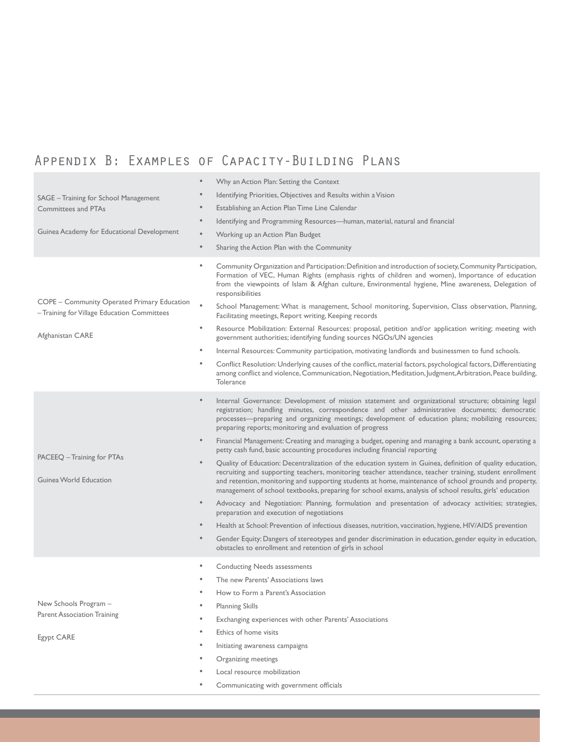# Appendix B: Examples of Capacity-Building Plans

| SAGE - Training for School Management<br>Committees and PTAs<br>Guinea Academy for Educational Development | $\bullet$<br>Why an Action Plan: Setting the Context<br>Identifying Priorities, Objectives and Results within a Vision<br>Establishing an Action Plan Time Line Calendar<br>Identifying and Programming Resources—human, material, natural and financial<br>$\bullet$<br>$\bullet$<br>Working up an Action Plan Budget<br>$\bullet$                                                                                                         |
|------------------------------------------------------------------------------------------------------------|---------------------------------------------------------------------------------------------------------------------------------------------------------------------------------------------------------------------------------------------------------------------------------------------------------------------------------------------------------------------------------------------------------------------------------------------|
|                                                                                                            | Sharing the Action Plan with the Community<br>Community Organization and Participation: Definition and introduction of society, Community Participation,<br>٠                                                                                                                                                                                                                                                                               |
|                                                                                                            | Formation of VEC, Human Rights (emphasis rights of children and women), Importance of education<br>from the viewpoints of Islam & Afghan culture, Environmental hygiene, Mine awareness, Delegation of<br>responsibilities                                                                                                                                                                                                                  |
| COPE - Community Operated Primary Education<br>- Training for Village Education Committees                 | School Management: What is management, School monitoring, Supervision, Class observation, Planning,<br>Facilitating meetings, Report writing, Keeping records                                                                                                                                                                                                                                                                               |
| Afghanistan CARE                                                                                           | Resource Mobilization: External Resources: proposal, petition and/or application writing; meeting with<br>$\bullet$<br>government authorities; identifying funding sources NGOs/UN agencies                                                                                                                                                                                                                                                 |
|                                                                                                            | $\bullet$<br>Internal Resources: Community participation, motivating landlords and businessmen to fund schools.                                                                                                                                                                                                                                                                                                                             |
|                                                                                                            | Conflict Resolution: Underlying causes of the conflict, material factors, psychological factors, Differentiating<br>$\bullet$<br>among conflict and violence, Communication, Negotiation, Meditation, Judgment, Arbitration, Peace building,<br>Tolerance                                                                                                                                                                                   |
|                                                                                                            | Internal Governance: Development of mission statement and organizational structure; obtaining legal<br>$\bullet$<br>registration; handling minutes, correspondence and other administrative documents; democratic<br>processes---preparing and organizing meetings; development of education plans; mobilizing resources;<br>preparing reports; monitoring and evaluation of progress                                                       |
|                                                                                                            | Financial Management: Creating and managing a budget, opening and managing a bank account, operating a<br>petty cash fund, basic accounting procedures including financial reporting                                                                                                                                                                                                                                                        |
| PACEEQ – Training for PTAs<br>Guinea World Education                                                       | Quality of Education: Decentralization of the education system in Guinea, definition of quality education,<br>recruiting and supporting teachers, monitoring teacher attendance, teacher training, student enrollment<br>and retention, monitoring and supporting students at home, maintenance of school grounds and property,<br>management of school textbooks, preparing for school exams, analysis of school results, girls' education |
|                                                                                                            | $\bullet$<br>Advocacy and Negotiation: Planning, formulation and presentation of advocacy activities; strategies,<br>preparation and execution of negotiations                                                                                                                                                                                                                                                                              |
|                                                                                                            | Health at School: Prevention of infectious diseases, nutrition, vaccination, hygiene, HIV/AIDS prevention                                                                                                                                                                                                                                                                                                                                   |
|                                                                                                            | Gender Equity: Dangers of stereotypes and gender discrimination in education, gender equity in education,<br>$\bullet$<br>obstacles to enrollment and retention of girls in school                                                                                                                                                                                                                                                          |
|                                                                                                            | $\bullet$<br><b>Conducting Needs assessments</b>                                                                                                                                                                                                                                                                                                                                                                                            |
|                                                                                                            | The new Parents' Associations laws                                                                                                                                                                                                                                                                                                                                                                                                          |
|                                                                                                            | How to Form a Parent's Association                                                                                                                                                                                                                                                                                                                                                                                                          |
| New Schools Program -                                                                                      | <b>Planning Skills</b><br>$\bullet$                                                                                                                                                                                                                                                                                                                                                                                                         |
| <b>Parent Association Training</b>                                                                         | Exchanging experiences with other Parents' Associations                                                                                                                                                                                                                                                                                                                                                                                     |
| Egypt CARE                                                                                                 | Ethics of home visits                                                                                                                                                                                                                                                                                                                                                                                                                       |
|                                                                                                            | Initiating awareness campaigns                                                                                                                                                                                                                                                                                                                                                                                                              |
|                                                                                                            | Organizing meetings                                                                                                                                                                                                                                                                                                                                                                                                                         |
|                                                                                                            | Local resource mobilization                                                                                                                                                                                                                                                                                                                                                                                                                 |
|                                                                                                            | Communicating with government officials                                                                                                                                                                                                                                                                                                                                                                                                     |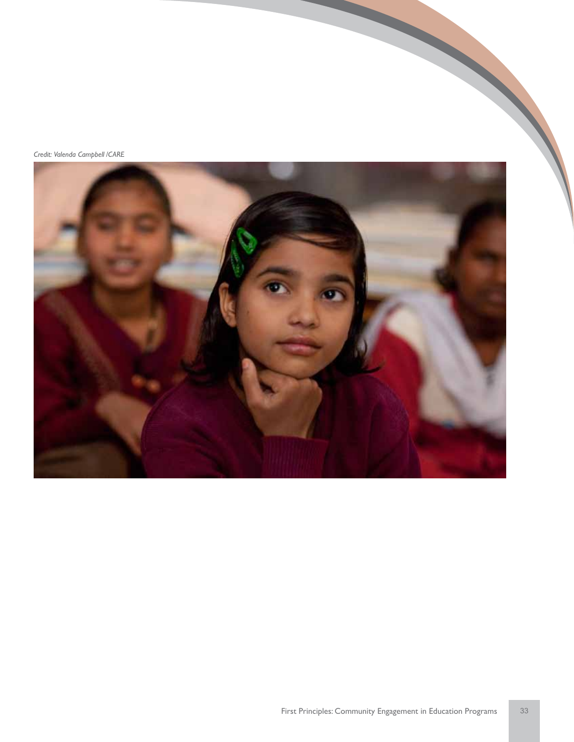*Credit: Valenda Campbell /CARE*

![](_page_36_Picture_1.jpeg)